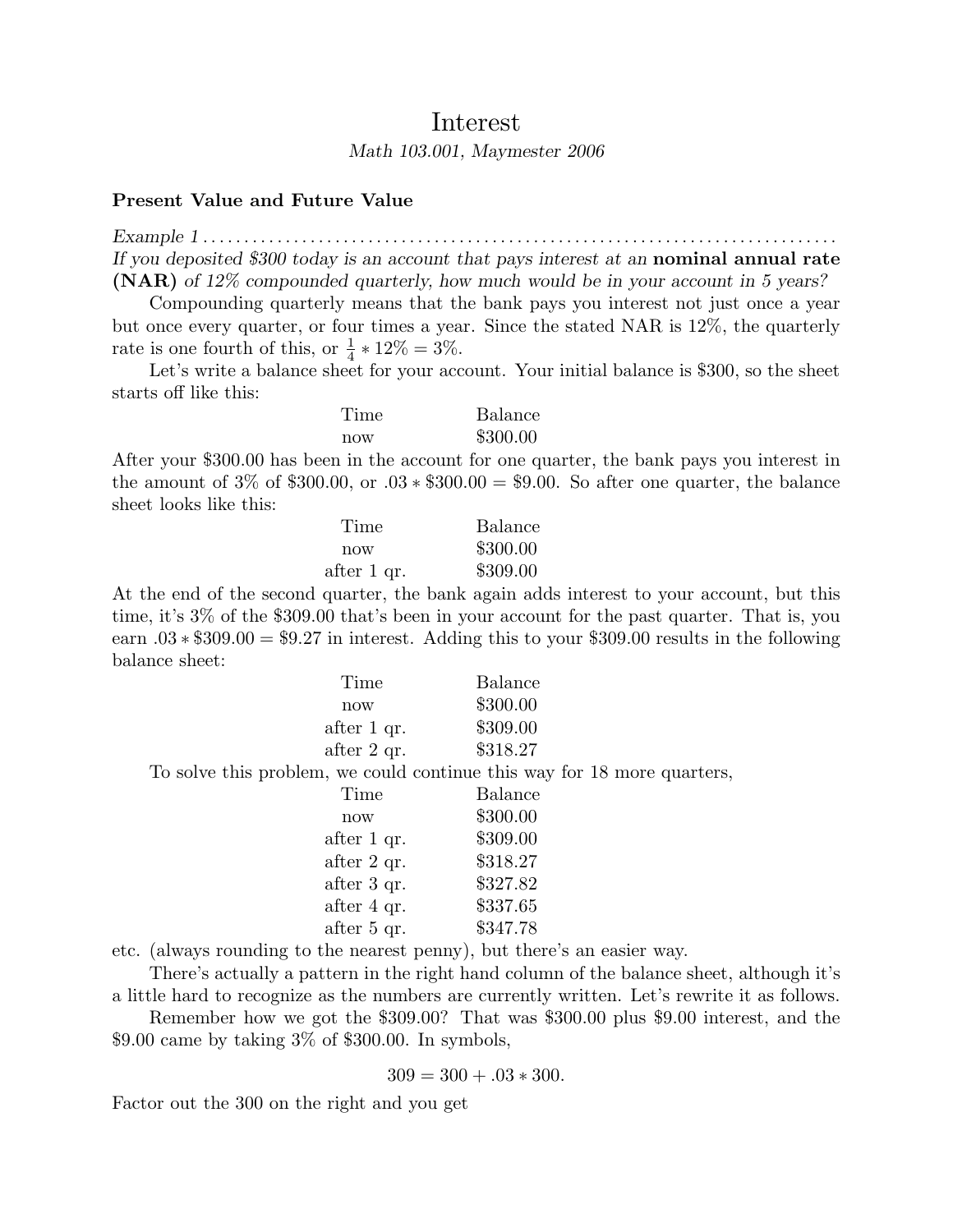# Interest

#### Math 103.001, Maymester 2006

#### Present Value and Future Value

Example 1 . . . . . . . . . . . . . . . . . . . . . . . . . . . . . . . . . . . . . . . . . . . . . . . . . . . . . . . . . . . . . . . . . . . . . . . . . . . . . If you deposited \$300 today is an account that pays interest at an nominal annual rate (NAR) of 12% compounded quarterly, how much would be in your account in 5 years?

Compounding quarterly means that the bank pays you interest not just once a year but once every quarter, or four times a year. Since the stated NAR is 12%, the quarterly rate is one fourth of this, or  $\frac{1}{4} * 12\% = 3\%$ .

Let's write a balance sheet for your account. Your initial balance is \$300, so the sheet starts off like this:

| Time | <b>Balance</b> |
|------|----------------|
| now  | \$300.00       |

After your \$300.00 has been in the account for one quarter, the bank pays you interest in the amount of 3% of \$300.00, or  $.03 * $300.00 = $9.00$ . So after one quarter, the balance sheet looks like this:

| Time        | Balance  |
|-------------|----------|
| now         | \$300.00 |
| after 1 qr. | \$309.00 |

At the end of the second quarter, the bank again adds interest to your account, but this time, it's 3% of the \$309.00 that's been in your account for the past quarter. That is, you earn .03 ∗ \$309.00 = \$9.27 in interest. Adding this to your \$309.00 results in the following balance sheet:

| Time        | <b>Balance</b> |
|-------------|----------------|
| now         | \$300.00       |
| after 1 qr. | \$309.00       |
| after 2 qr. | \$318.27       |
|             |                |

To solve this problem, we could continue this way for 18 more quarters,

| Time          | <b>Balance</b> |
|---------------|----------------|
| now           | \$300.00       |
| after 1 qr.   | \$309.00       |
| after $2$ qr. | \$318.27       |
| after 3 qr.   | \$327.82       |
| after 4 qr.   | \$337.65       |
| after 5 qr.   | \$347.78       |

etc. (always rounding to the nearest penny), but there's an easier way.

There's actually a pattern in the right hand column of the balance sheet, although it's a little hard to recognize as the numbers are currently written. Let's rewrite it as follows.

Remember how we got the \$309.00? That was \$300.00 plus \$9.00 interest, and the \$9.00 came by taking 3% of \$300.00. In symbols,

 $309 = 300 + 0.03 * 300.$ 

Factor out the 300 on the right and you get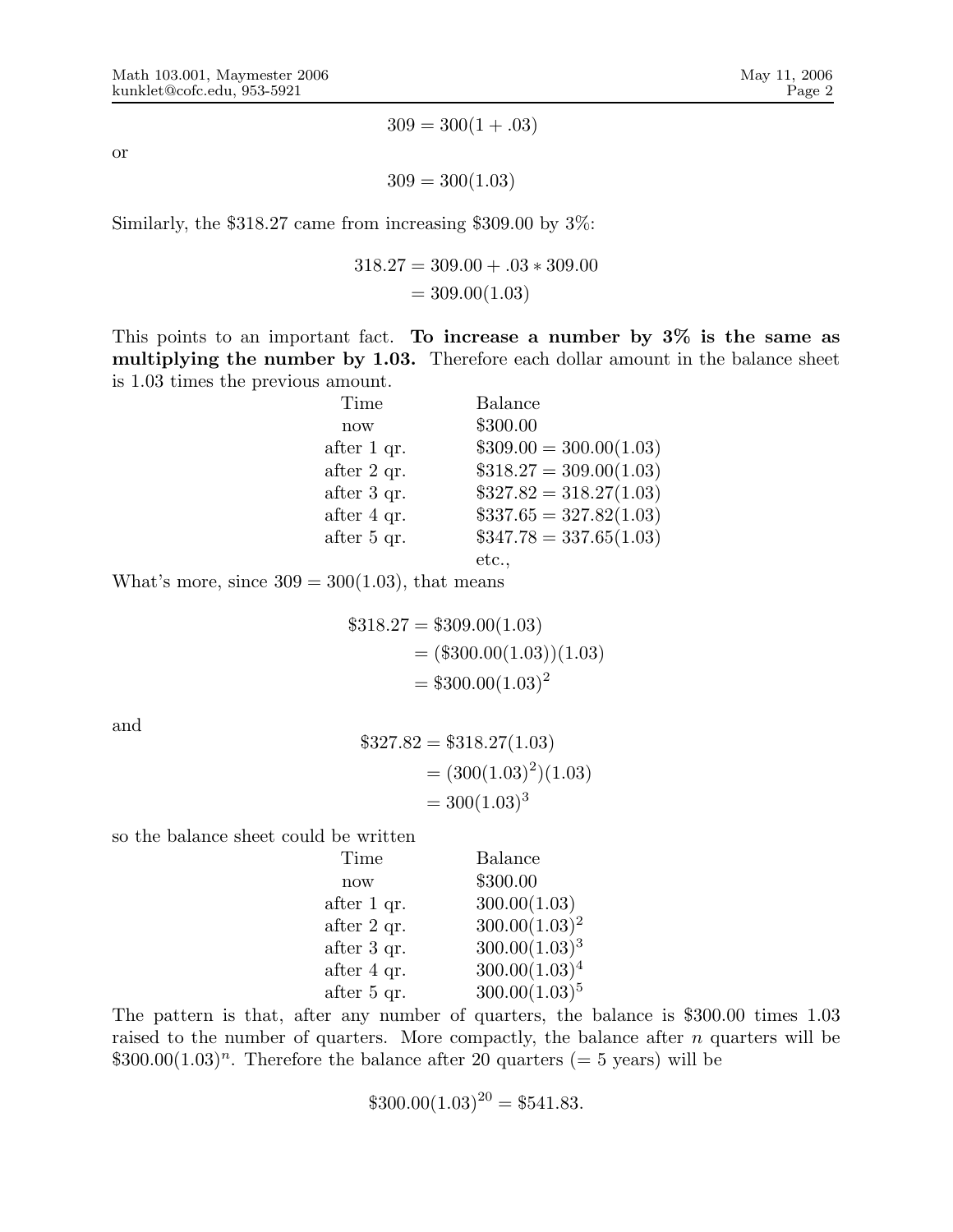or

$$
309 = 300(1 + .03)
$$

 $309 = 300(1.03)$ 

Similarly, the \$318.27 came from increasing \$309.00 by 3%:

$$
318.27 = 309.00 + .03 * 309.00
$$

$$
= 309.00(1.03)
$$

This points to an important fact. To increase a number by  $3\%$  is the same as multiplying the number by 1.03. Therefore each dollar amount in the balance sheet is 1.03 times the previous amount.

| Time        | <b>Balance</b>            |
|-------------|---------------------------|
| now         | \$300.00                  |
| after 1 qr. | $\$309.00 = 300.00(1.03)$ |
| after 2 qr. | $\$318.27 = 309.00(1.03)$ |
| after 3 qr. | $\$327.82 = 318.27(1.03)$ |
| after 4 qr. | $\$337.65 = 327.82(1.03)$ |
| after 5 qr. | $\$347.78 = 337.65(1.03)$ |
|             |                           |

etc.,

What's more, since  $309 = 300(1.03)$ , that means

$$
$318.27 = $309.00(1.03)
$$
  
= (\$300.00(1.03))(1.03)  
= \$300.00(1.03)<sup>2</sup>

and

$$
$327.82 = $318.27(1.03)
$$
  
=  $(300(1.03)^2)(1.03)$   
=  $300(1.03)^3$ 

so the balance sheet could be written

| Time        | <b>Balance</b>   |
|-------------|------------------|
| now         | \$300.00         |
| after 1 qr. | 300.00(1.03)     |
| after 2 qr. | $300.00(1.03)^2$ |
| after 3 qr. | $300.00(1.03)^3$ |
| after 4 qr. | $300.00(1.03)^4$ |
| after 5 qr. | $300.00(1.03)^5$ |

The pattern is that, after any number of quarters, the balance is \$300.00 times 1.03 raised to the number of quarters. More compactly, the balance after  $n$  quarters will be  $$300.00(1.03)<sup>n</sup>$ . Therefore the balance after 20 quarters (= 5 years) will be

 $$300.00(1.03)^{20} = $541.83.$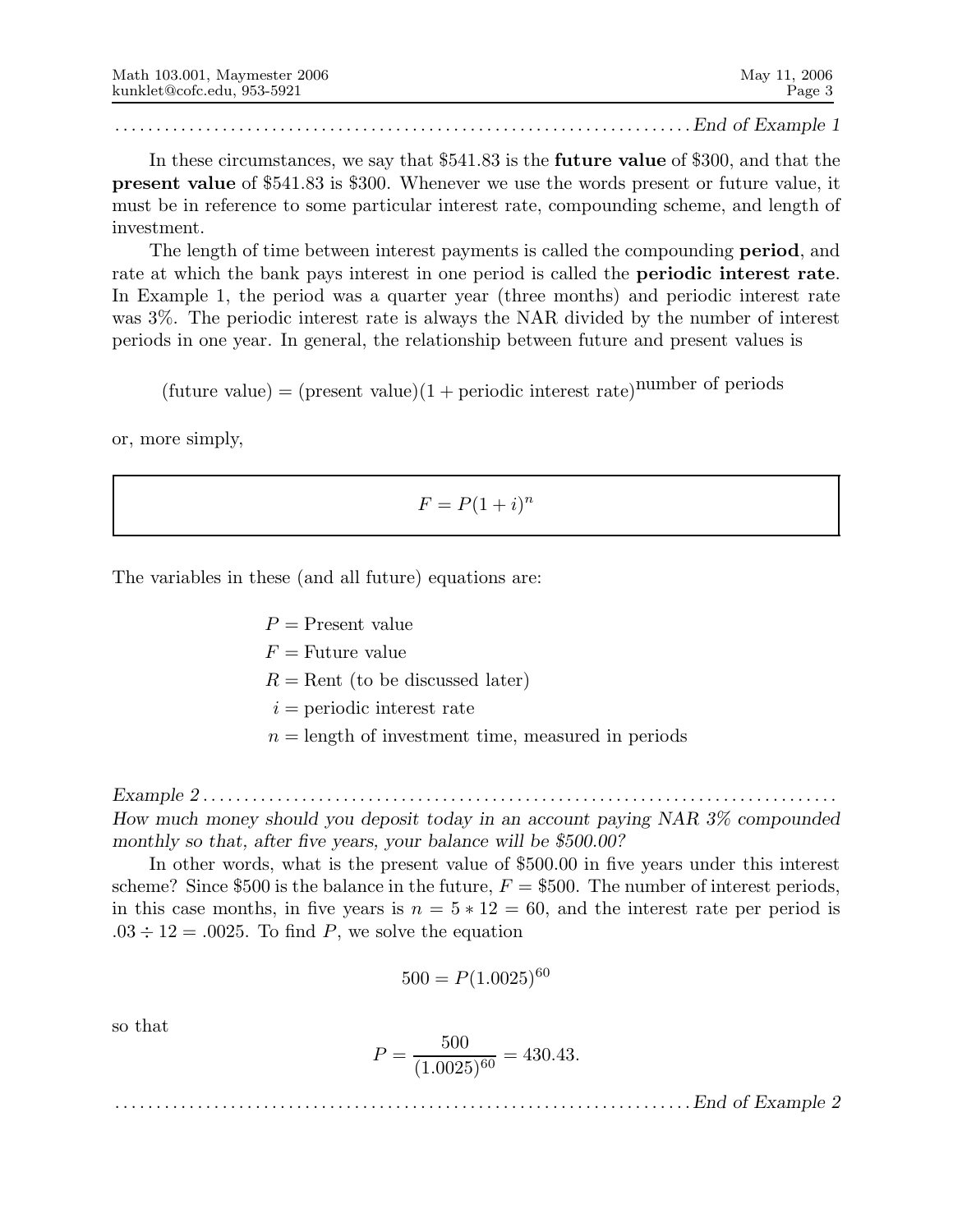. . . . . . . . . . . . . . . . . . . . . . . . . . . . . . . . . . . . . . . . . . . . . . . . . . . . . . . . . . . . . . . . . . . . . .End of Example 1

In these circumstances, we say that \$541.83 is the future value of \$300, and that the present value of \$541.83 is \$300. Whenever we use the words present or future value, it must be in reference to some particular interest rate, compounding scheme, and length of investment.

The length of time between interest payments is called the compounding **period**, and rate at which the bank pays interest in one period is called the **periodic interest rate**. In Example 1, the period was a quarter year (three months) and periodic interest rate was 3%. The periodic interest rate is always the NAR divided by the number of interest periods in one year. In general, the relationship between future and present values is

 $(\text{future value}) = (\text{present value})(1 + \text{periodic interest rate})^{\text{number of periods}}$ 

or, more simply,

 $F = P(1 + i)^n$ 

The variables in these (and all future) equations are:

 $P =$ Present value  $F =$  Future value  $R =$ Rent (to be discussed later)  $i =$  periodic interest rate  $n =$  length of investment time, measured in periods

Example 2 . . . . . . . . . . . . . . . . . . . . . . . . . . . . . . . . . . . . . . . . . . . . . . . . . . . . . . . . . . . . . . . . . . . . . . . . . . . . . How much money should you deposit today in an account paying NAR 3% compounded monthly so that, after five years, your balance will be \$500.00?

In other words, what is the present value of \$500.00 in five years under this interest scheme? Since \$500 is the balance in the future,  $F = $500$ . The number of interest periods, in this case months, in five years is  $n = 5 * 12 = 60$ , and the interest rate per period is  $.03 \div 12 = .0025$ . To find P, we solve the equation

$$
500 = P(1.0025)^{60}
$$

so that

$$
P = \frac{500}{(1.0025)^{60}} = 430.43.
$$

. . . . . . . . . . . . . . . . . . . . . . . . . . . . . . . . . . . . . . . . . . . . . . . . . . . . . . . . . . . . . . . . . . . . . .End of Example 2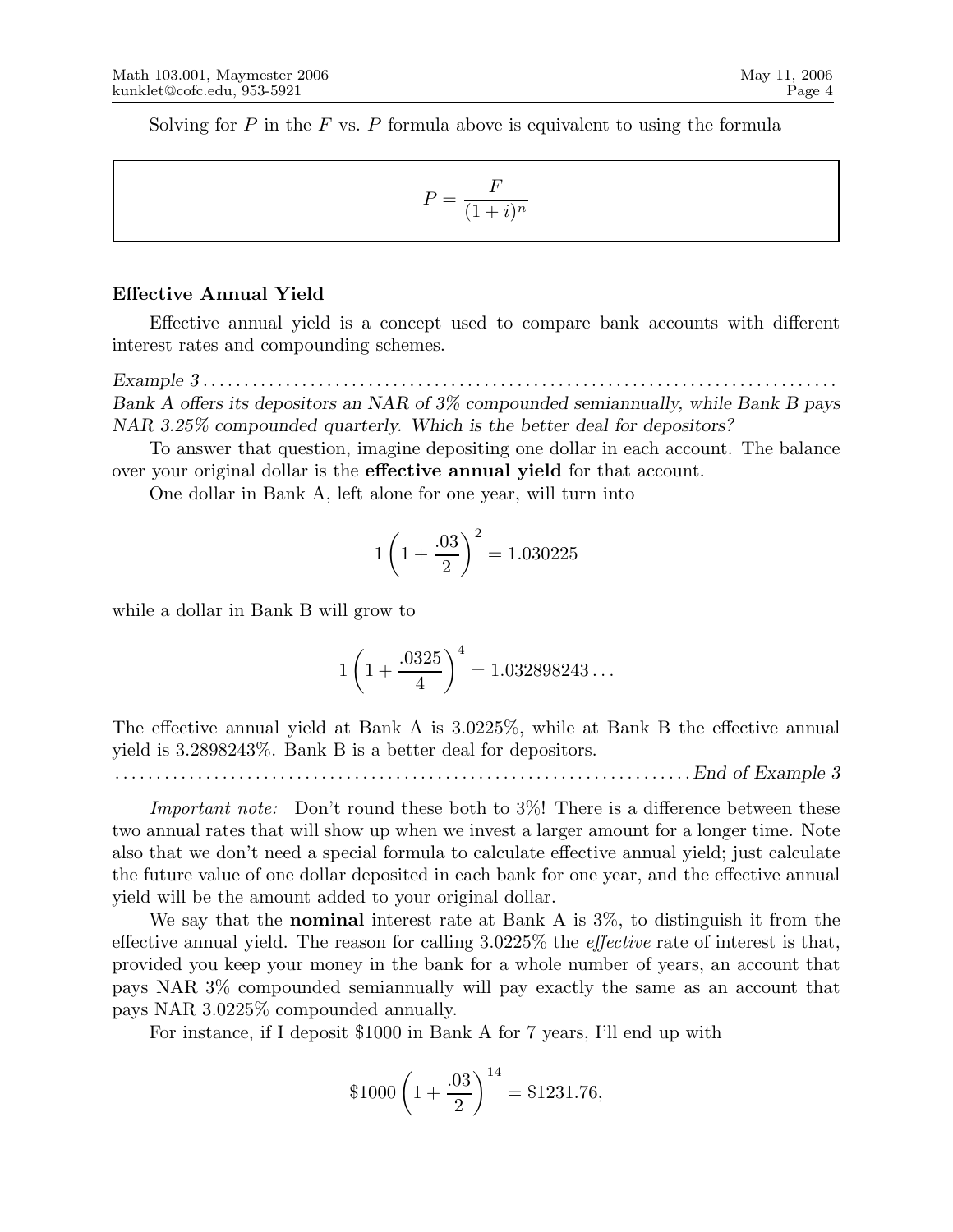Solving for P in the F vs. P formula above is equivalent to using the formula

$$
P = \frac{F}{(1+i)^n}
$$

#### Effective Annual Yield

Effective annual yield is a concept used to compare bank accounts with different interest rates and compounding schemes.

 $Example 3 \ldots \ldots \ldots \ldots \ldots \ldots$ Bank A offers its depositors an NAR of 3% compounded semiannually, while Bank B pays NAR 3.25% compounded quarterly. Which is the better deal for depositors?

To answer that question, imagine depositing one dollar in each account. The balance over your original dollar is the effective annual yield for that account.

One dollar in Bank A, left alone for one year, will turn into

$$
1\left(1+\frac{.03}{2}\right)^2 = 1.030225
$$

while a dollar in Bank B will grow to

$$
1\left(1+\frac{.0325}{4}\right)^4 = 1.032898243\ldots
$$

The effective annual yield at Bank A is 3.0225%, while at Bank B the effective annual yield is 3.2898243%. Bank B is a better deal for depositors.

. . . . . . . . . . . . . . . . . . . . . . . . . . . . . . . . . . . . . . . . . . . . . . . . . . . . . . . . . . . . . . . . . . . . . .End of Example 3

Important note: Don't round these both to 3%! There is a difference between these two annual rates that will show up when we invest a larger amount for a longer time. Note also that we don't need a special formula to calculate effective annual yield; just calculate the future value of one dollar deposited in each bank for one year, and the effective annual yield will be the amount added to your original dollar.

We say that the **nominal** interest rate at Bank A is 3\%, to distinguish it from the effective annual yield. The reason for calling  $3.0225\%$  the *effective* rate of interest is that, provided you keep your money in the bank for a whole number of years, an account that pays NAR 3% compounded semiannually will pay exactly the same as an account that pays NAR 3.0225% compounded annually.

For instance, if I deposit \$1000 in Bank A for 7 years, I'll end up with

$$
$1000\left(1+\frac{.03}{2}\right)^{14} = $1231.76,
$$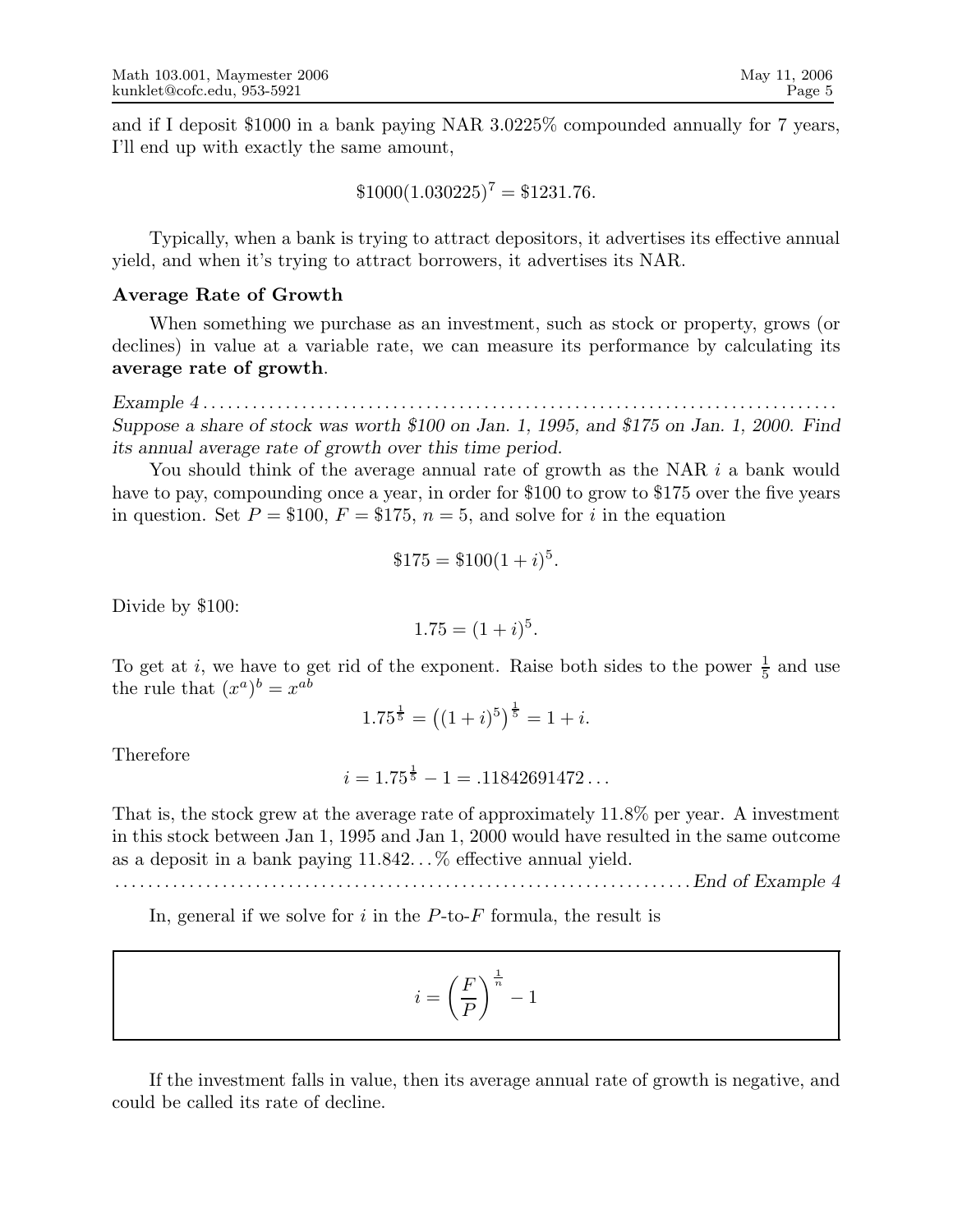and if I deposit \$1000 in a bank paying NAR 3.0225% compounded annually for 7 years, I'll end up with exactly the same amount,

$$
$1000(1.030225)^7 = $1231.76.
$$

Typically, when a bank is trying to attract depositors, it advertises its effective annual yield, and when it's trying to attract borrowers, it advertises its NAR.

### Average Rate of Growth

When something we purchase as an investment, such as stock or property, grows (or declines) in value at a variable rate, we can measure its performance by calculating its average rate of growth.

Example 4 . . . . . . . . . . . . . . . . . . . . . . . . . . . . . . . . . . . . . . . . . . . . . . . . . . . . . . . . . . . . . . . . . . . . . . . . . . . . . Suppose a share of stock was worth \$100 on Jan. 1, 1995, and \$175 on Jan. 1, 2000. Find its annual average rate of growth over this time period.

You should think of the average annual rate of growth as the NAR i a bank would have to pay, compounding once a year, in order for \$100 to grow to \$175 over the five years in question. Set  $P = $100, F = $175, n = 5$ , and solve for i in the equation

$$
$175 = $100(1+i)^5.
$$

Divide by \$100:

$$
1.75 = (1+i)^5.
$$

To get at *i*, we have to get rid of the exponent. Raise both sides to the power  $\frac{1}{5}$  and use the rule that  $(x^a)^b = x^{a\overline{b}}$ 

$$
1.75^{\frac{1}{5}} = ((1+i)^5)^{\frac{1}{5}} = 1+i.
$$

Therefore

$$
i = 1.75^{\frac{1}{5}} - 1 = .11842691472...
$$

That is, the stock grew at the average rate of approximately 11.8% per year. A investment in this stock between Jan 1, 1995 and Jan 1, 2000 would have resulted in the same outcome as a deposit in a bank paying 11.842. . . % effective annual yield.

. . . . . . . . . . . . . . . . . . . . . . . . . . . . . . . . . . . . . . . . . . . . . . . . . . . . . . . . . . . . . . . . . . . . . .End of Example 4

In, general if we solve for  $i$  in the  $P$ -to- $F$  formula, the result is

$$
i=\left(\frac{F}{P}\right)^{\frac{1}{n}}-1
$$

If the investment falls in value, then its average annual rate of growth is negative, and could be called its rate of decline.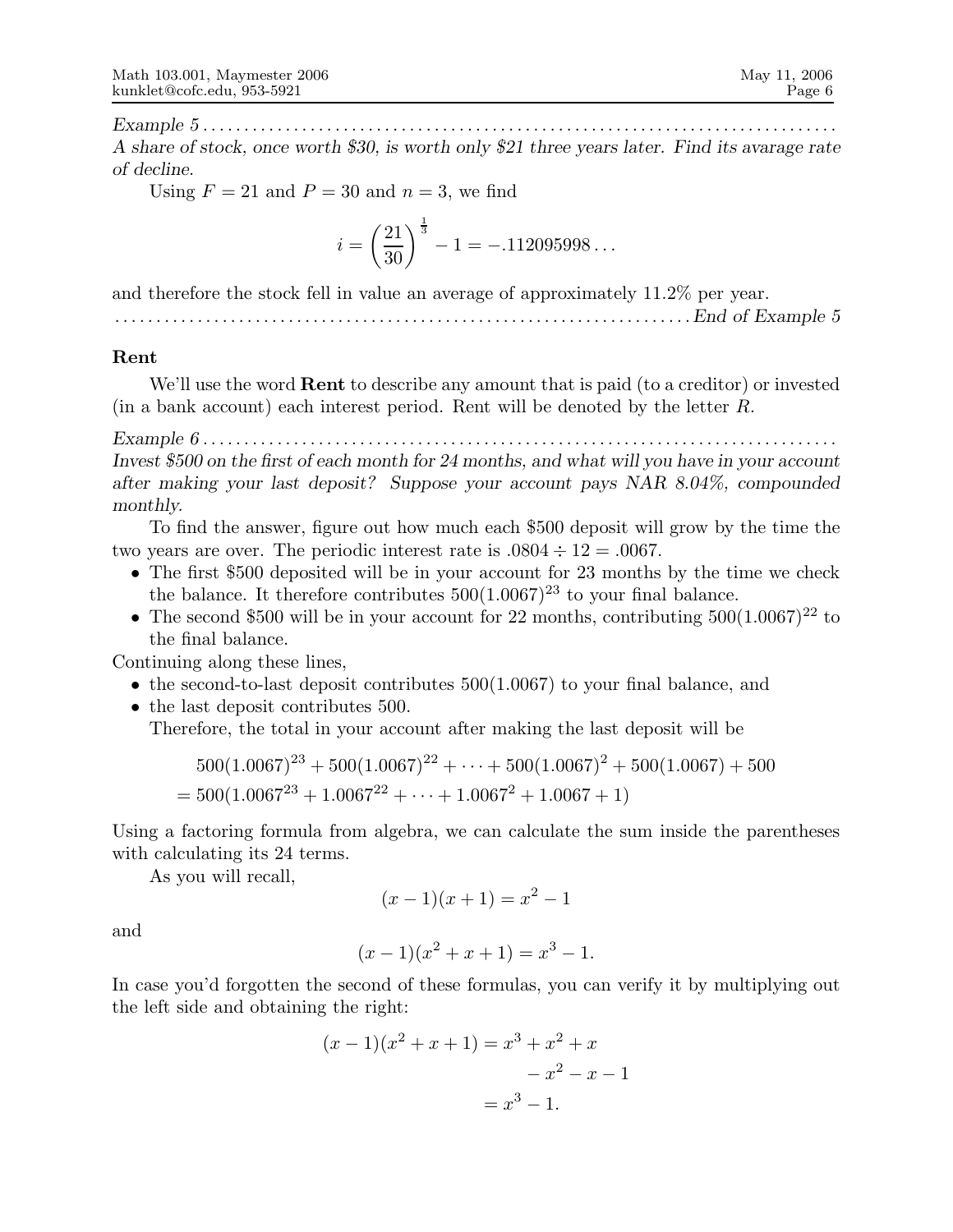Example 5 . . . . . . . . . . . . . . . . . . . . . . . . . . . . . . . . . . . . . . . . . . . . . . . . . . . . . . . . . . . . . . . . . . . . . . . . . . . . . A share of stock, once worth \$30, is worth only \$21 three years later. Find its avarage rate of decline.

Using  $F = 21$  and  $P = 30$  and  $n = 3$ , we find

$$
i = \left(\frac{21}{30}\right)^{\frac{1}{3}} - 1 = -.112095998...
$$

and therefore the stock fell in value an average of approximately 11.2% per year.

. . . . . . . . . . . . . . . . . . . . . . . . . . . . . . . . . . . . . . . . . . . . . . . . . . . . . . . . . . . . . . . . . . . . . .End of Example 5

#### Rent

We'll use the word **Rent** to describe any amount that is paid (to a creditor) or invested (in a bank account) each interest period. Rent will be denoted by the letter R.

Example 6 . . . . . . . . . . . . . . . . . . . . . . . . . . . . . . . . . . . . . . . . . . . . . . . . . . . . . . . . . . . . . . . . . . . . . . . . . . . . .

Invest \$500 on the first of each month for 24 months, and what will you have in your account after making your last deposit? Suppose your account pays NAR 8.04%, compounded monthly.

To find the answer, figure out how much each \$500 deposit will grow by the time the two years are over. The periodic interest rate is  $.0804 \div 12 = .0067$ .

- The first \$500 deposited will be in your account for 23 months by the time we check the balance. It therefore contributes  $500(1.0067)^{23}$  to your final balance.
- The second \$500 will be in your account for 22 months, contributing  $500(1.0067)^{22}$  to the final balance.

Continuing along these lines,

- the second-to-last deposit contributes 500(1.0067) to your final balance, and
- the last deposit contributes 500.

Therefore, the total in your account after making the last deposit will be

$$
500(1.0067)^{23} + 500(1.0067)^{22} + \dots + 500(1.0067)^{2} + 500(1.0067) + 500
$$
  
= 500(1.0067<sup>23</sup> + 1.0067<sup>22</sup> + \dots + 1.0067<sup>2</sup> + 1.0067 + 1)

Using a factoring formula from algebra, we can calculate the sum inside the parentheses with calculating its 24 terms.

As you will recall,

$$
(x-1)(x+1) = x^2 - 1
$$

and

$$
(x-1)(x^2 + x + 1) = x^3 - 1.
$$

In case you'd forgotten the second of these formulas, you can verify it by multiplying out the left side and obtaining the right:

$$
(x-1)(x2 + x + 1) = x3 + x2 + x
$$
  

$$
-x2 - x - 1
$$
  

$$
= x3 - 1.
$$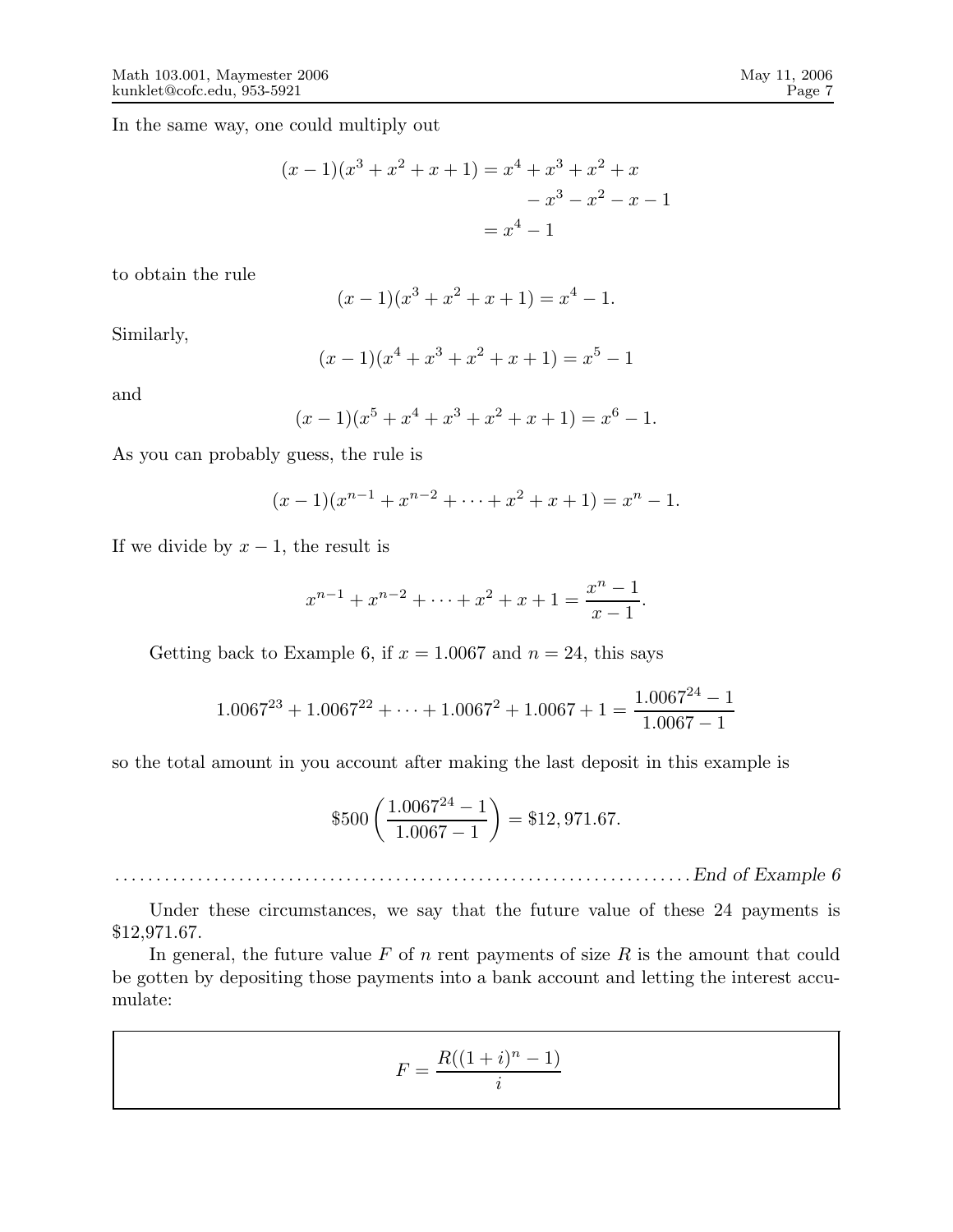In the same way, one could multiply out

$$
(x-1)(x3 + x2 + x + 1) = x4 + x3 + x2 + x
$$
  

$$
-x3 - x2 - x - 1
$$
  

$$
= x4 - 1
$$

to obtain the rule

$$
(x-1)(x3 + x2 + x + 1) = x4 - 1.
$$

Similarly,

$$
(x-1)(x4 + x3 + x2 + x + 1) = x5 - 1
$$

and

$$
(x-1)(x5 + x4 + x3 + x2 + x + 1) = x6 - 1.
$$

As you can probably guess, the rule is

$$
(x-1)(x^{n-1} + x^{n-2} + \dots + x^2 + x + 1) = x^n - 1.
$$

If we divide by  $x - 1$ , the result is

$$
x^{n-1} + x^{n-2} + \dots + x^2 + x + 1 = \frac{x^n - 1}{x - 1}.
$$

Getting back to Example 6, if  $x = 1.0067$  and  $n = 24$ , this says

$$
1.0067^{23} + 1.0067^{22} + \dots + 1.0067^{2} + 1.0067 + 1 = \frac{1.0067^{24} - 1}{1.0067 - 1}
$$

so the total amount in you account after making the last deposit in this example is

$$
$500\left(\frac{1.0067^{24} - 1}{1.0067 - 1}\right) = $12,971.67.
$$

. . . . . . . . . . . . . . . . . . . . . . . . . . . . . . . . . . . . . . . . . . . . . . . . . . . . . . . . . . . . . . . . . . . . . .End of Example 6

Under these circumstances, we say that the future value of these 24 payments is \$12,971.67.

In general, the future value  $F$  of  $n$  rent payments of size  $R$  is the amount that could be gotten by depositing those payments into a bank account and letting the interest accumulate:

$$
F = \frac{R((1+i)^n - 1)}{i}
$$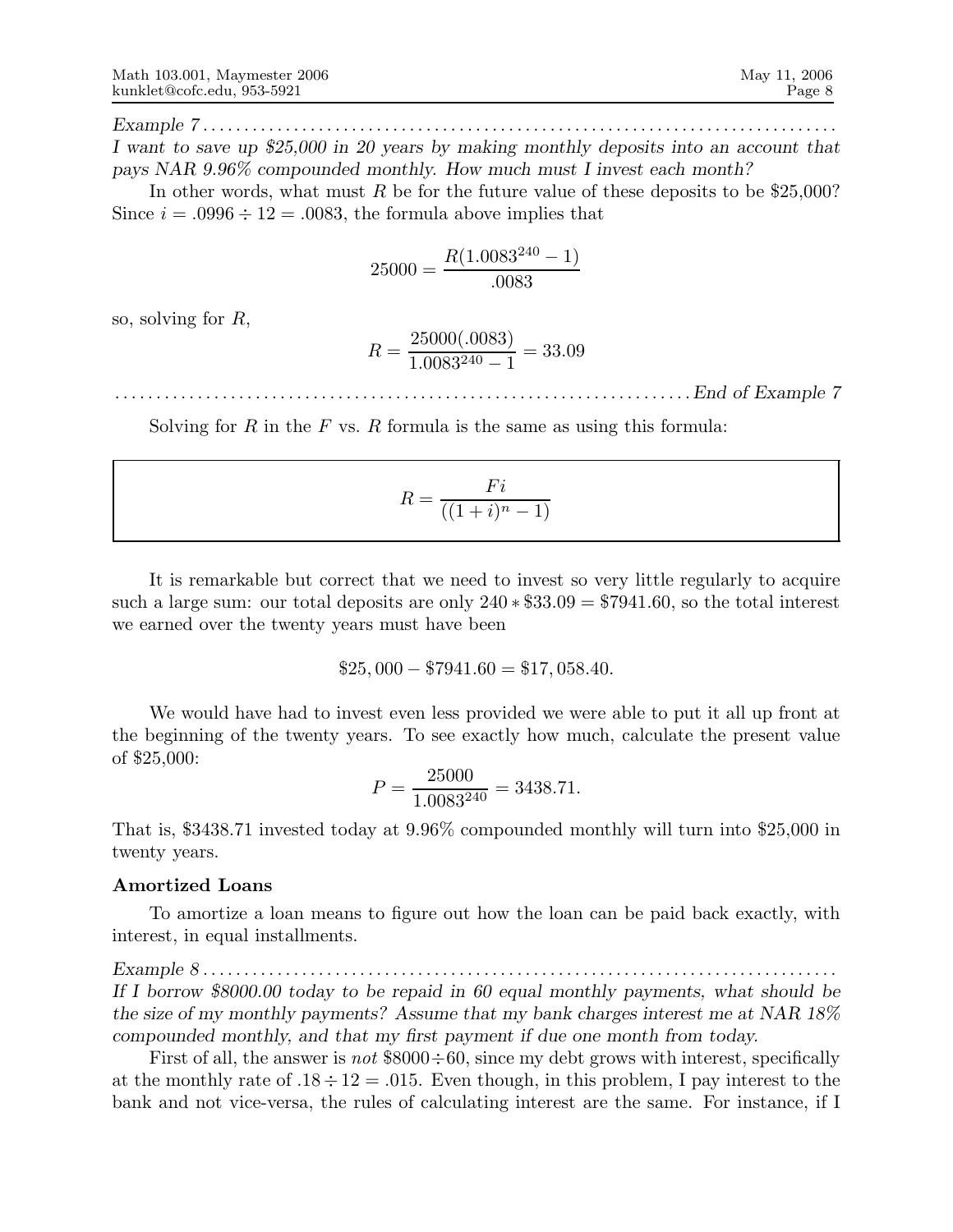$Example 7... \ldots \ldots \ldots \ldots \ldots$ I want to save up \$25,000 in 20 years by making monthly deposits into an account that pays NAR 9.96% compounded monthly. How much must I invest each month?

In other words, what must R be for the future value of these deposits to be \$25,000? Since  $i = .0996 \div 12 = .0083$ , the formula above implies that

$$
25000 = \frac{R(1.0083^{240} - 1)}{.0083}
$$

so, solving for R,

$$
R = \frac{25000(.0083)}{1.0083^{240} - 1} = 33.09
$$

. . . . . . . . . . . . . . . . . . . . . . . . . . . . . . . . . . . . . . . . . . . . . . . . . . . . . . . . . . . . . . . . . . . . . .End of Example 7

Solving for  $R$  in the  $F$  vs.  $R$  formula is the same as using this formula:

$$
R = \frac{Fi}{((1+i)^n - 1)}
$$

It is remarkable but correct that we need to invest so very little regularly to acquire such a large sum: our total deposits are only  $240 * $33.09 = $7941.60$ , so the total interest we earned over the twenty years must have been

$$
$25,000 - $7941.60 = $17,058.40.
$$

We would have had to invest even less provided we were able to put it all up front at the beginning of the twenty years. To see exactly how much, calculate the present value of \$25,000:

$$
P = \frac{25000}{1.0083^{240}} = 3438.71.
$$

That is, \$3438.71 invested today at 9.96% compounded monthly will turn into \$25,000 in twenty years.

#### Amortized Loans

To amortize a loan means to figure out how the loan can be paid back exactly, with interest, in equal installments.

Example 8 . . . . . . . . . . . . . . . . . . . . . . . . . . . . . . . . . . . . . . . . . . . . . . . . . . . . . . . . . . . . . . . . . . . . . . . . . . . . . If I borrow \$8000.00 today to be repaid in 60 equal monthly payments, what should be the size of my monthly payments? Assume that my bank charges interest me at NAR 18% compounded monthly, and that my first payment if due one month from today.

First of all, the answer is *not*  $$8000 \div 60$ , since my debt grows with interest, specifically at the monthly rate of  $.18 \div 12 = .015$ . Even though, in this problem, I pay interest to the bank and not vice-versa, the rules of calculating interest are the same. For instance, if I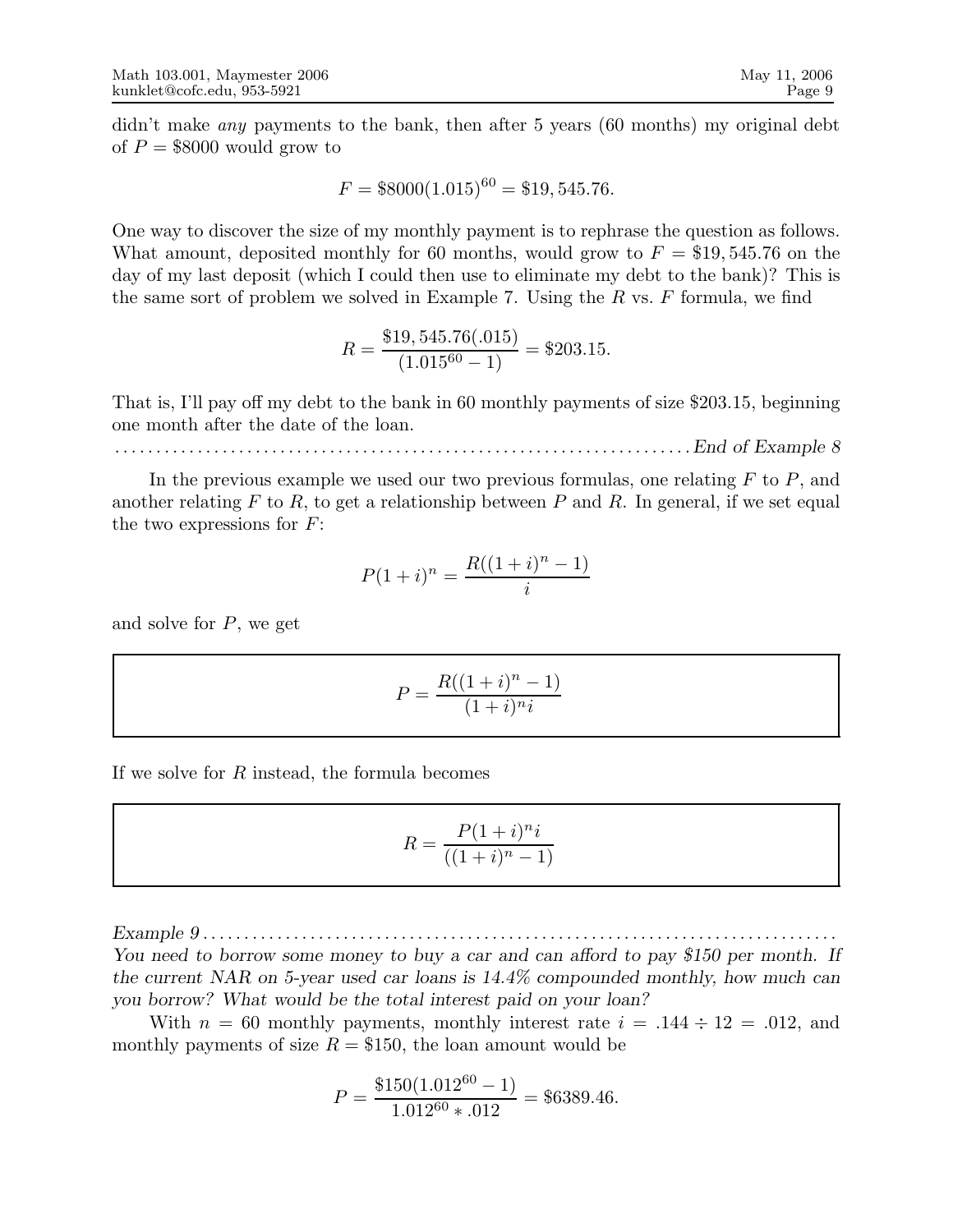didn't make *any* payments to the bank, then after 5 years (60 months) my original debt of  $P = $8000$  would grow to

$$
F = $8000(1.015)^{60} = $19,545.76.
$$

One way to discover the size of my monthly payment is to rephrase the question as follows. What amount, deposited monthly for 60 months, would grow to  $F = $19,545.76$  on the day of my last deposit (which I could then use to eliminate my debt to the bank)? This is the same sort of problem we solved in Example 7. Using the  $R$  vs.  $F$  formula, we find

$$
R = \frac{\$19,545.76(.015)}{(1.015^{60} - 1)} = \$203.15.
$$

That is, I'll pay off my debt to the bank in 60 monthly payments of size \$203.15, beginning one month after the date of the loan.

. . . . . . . . . . . . . . . . . . . . . . . . . . . . . . . . . . . . . . . . . . . . . . . . . . . . . . . . . . . . . . . . . . . . . .End of Example 8

In the previous example we used our two previous formulas, one relating  $F$  to  $P$ , and another relating  $F$  to  $R$ , to get a relationship between  $P$  and  $R$ . In general, if we set equal the two expressions for  $F$ :

$$
P(1+i)^n = \frac{R((1+i)^n - 1)}{i}
$$

and solve for  $P$ , we get

$$
P = \frac{R((1+i)^n - 1)}{(1+i)^n i}
$$

If we solve for  $R$  instead, the formula becomes

$$
R = \frac{P(1+i)^{n}i}{((1+i)^{n} - 1)}
$$

Example 9 . . . . . . . . . . . . . . . . . . . . . . . . . . . . . . . . . . . . . . . . . . . . . . . . . . . . . . . . . . . . . . . . . . . . . . . . . . . . . You need to borrow some money to buy a car and can afford to pay \$150 per month. If the current NAR on 5-year used car loans is 14.4% compounded monthly, how much can you borrow? What would be the total interest paid on your loan?

With  $n = 60$  monthly payments, monthly interest rate  $i = .144 \div 12 = .012$ , and monthly payments of size  $R = $150$ , the loan amount would be

$$
P = \frac{\$150(1.012^{60} - 1)}{1.012^{60} * .012} = \$6389.46.
$$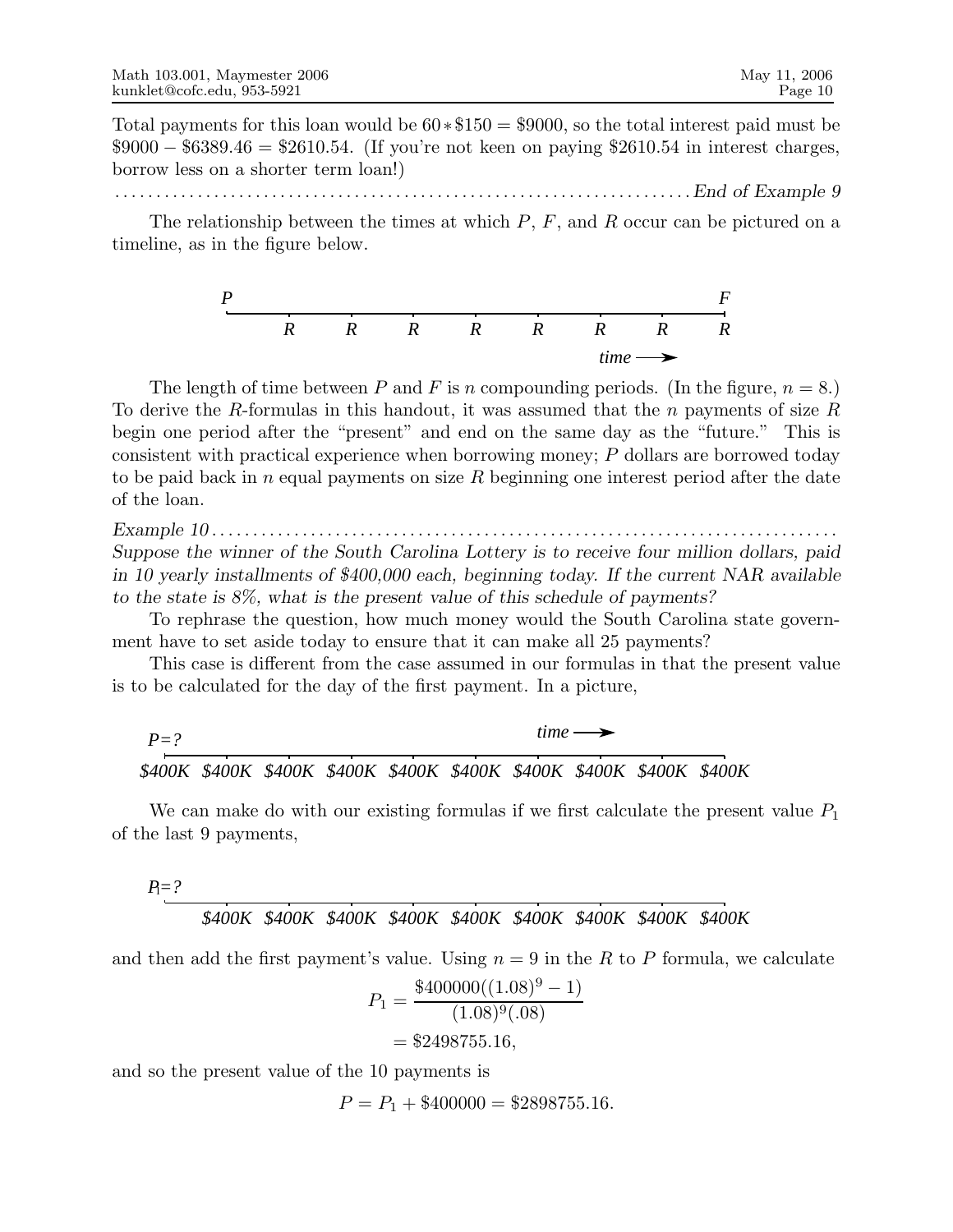Total payments for this loan would be 60∗\$150 = \$9000, so the total interest paid must be \$9000 − \$6389.46 = \$2610.54. (If you're not keen on paying \$2610.54 in interest charges, borrow less on a shorter term loan!)

. . . . . . . . . . . . . . . . . . . . . . . . . . . . . . . . . . . . . . . . . . . . . . . . . . . . . . . . . . . . . . . . . . . . . .End of Example 9

The relationship between the times at which  $P, F$ , and  $R$  occur can be pictured on a timeline, as in the figure below.



The length of time between P and F is n compounding periods. (In the figure,  $n = 8$ .) To derive the R-formulas in this handout, it was assumed that the  $n$  payments of size  $R$ begin one period after the "present" and end on the same day as the "future." This is consistent with practical experience when borrowing money; P dollars are borrowed today to be paid back in n equal payments on size  $R$  beginning one interest period after the date of the loan.

Example 10 . . . . . . . . . . . . . . . . . . . . . . . . . . . . . . . . . . . . . . . . . . . . . . . . . . . . . . . . . . . . . . . . . . . . . . . . . . . . Suppose the winner of the South Carolina Lottery is to receive four million dollars, paid in 10 yearly installments of \$400,000 each, beginning today. If the current NAR available to the state is 8%, what is the present value of this schedule of payments?

To rephrase the question, how much money would the South Carolina state government have to set aside today to ensure that it can make all 25 payments?

This case is different from the case assumed in our formulas in that the present value is to be calculated for the day of the first payment. In a picture,

$$
P=?
$$
\n
$$
5400K
$$
\n
$$
5400K
$$
\n
$$
5400K
$$
\n
$$
5400K
$$
\n
$$
5400K
$$
\n
$$
5400K
$$
\n
$$
5400K
$$
\n
$$
5400K
$$
\n
$$
5400K
$$
\n
$$
5400K
$$
\n
$$
5400K
$$
\n
$$
5400K
$$
\n
$$
5400K
$$

We can make do with our existing formulas if we first calculate the present value  $P_1$ of the last 9 payments,

$$
P_1 = ?
$$

## *\$400K \$400K \$400K \$400K \$400K \$400K \$400K \$400K \$400K*

and then add the first payment's value. Using  $n = 9$  in the R to P formula, we calculate

$$
P_1 = \frac{\$400000((1.08)^9 - 1)}{(1.08)^9(.08)}
$$
  
= \\$2498755.16,

and so the present value of the 10 payments is

 $P = P_1 + $400000 = $2898755.16.$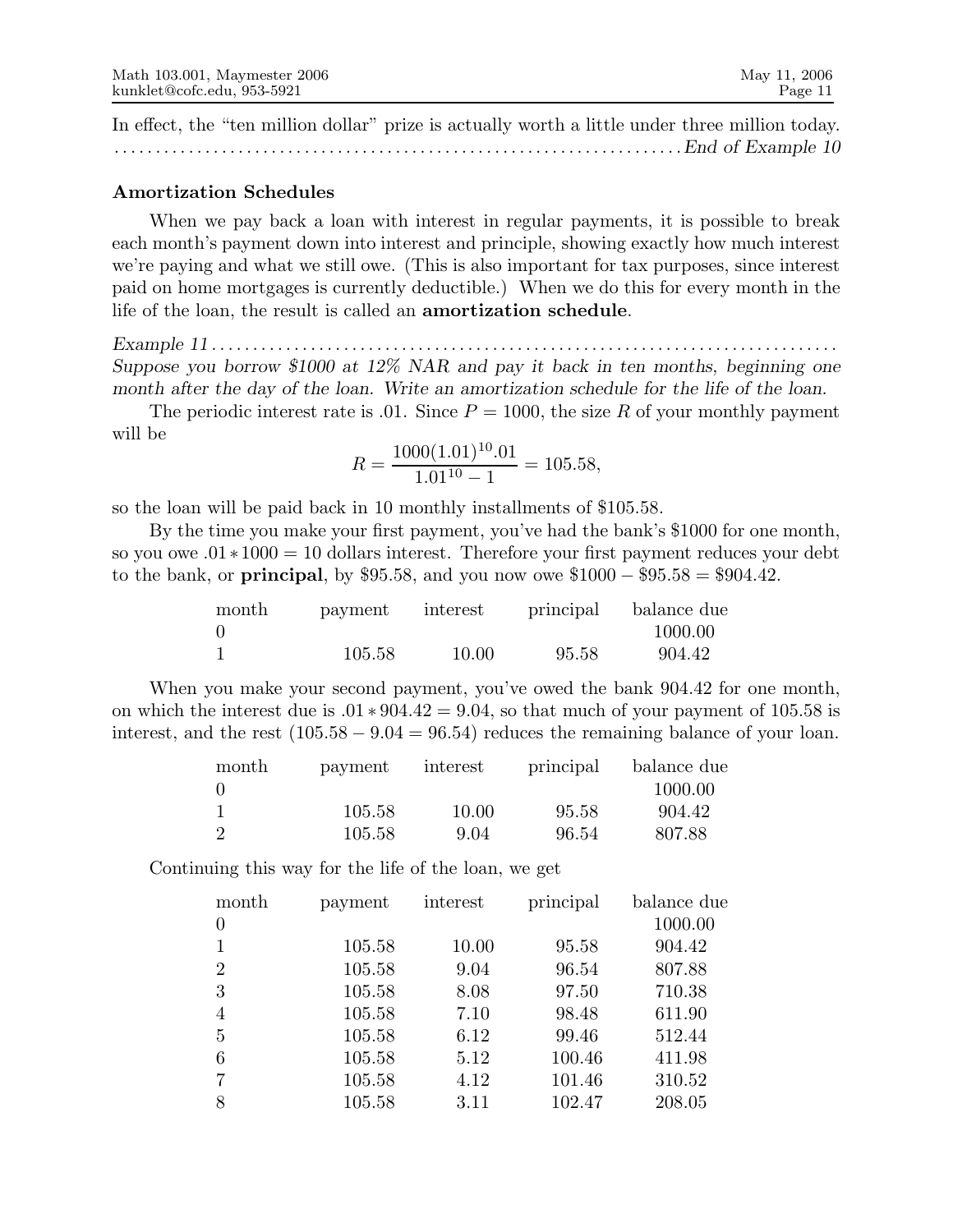In effect, the "ten million dollar" prize is actually worth a little under three million today. . . . . . . . . . . . . . . . . . . . . . . . . . . . . . . . . . . . . . . . . . . . . . . . . . . . . . . . . . . . . . . . . . . . . .End of Example 10

## Amortization Schedules

When we pay back a loan with interest in regular payments, it is possible to break each month's payment down into interest and principle, showing exactly how much interest we're paying and what we still owe. (This is also important for tax purposes, since interest paid on home mortgages is currently deductible.) When we do this for every month in the life of the loan, the result is called an amortization schedule.

Example 11 . . . . . . . . . . . . . . . . . . . . . . . . . . . . . . . . . . . . . . . . . . . . . . . . . . . . . . . . . . . . . . . . . . . . . . . . . . . . Suppose you borrow \$1000 at 12% NAR and pay it back in ten months, beginning one month after the day of the loan. Write an amortization schedule for the life of the loan.

The periodic interest rate is .01. Since  $P = 1000$ , the size R of your monthly payment will be

$$
R = \frac{1000(1.01)^{10}.01}{1.01^{10} - 1} = 105.58,
$$

so the loan will be paid back in 10 monthly installments of \$105.58.

By the time you make your first payment, you've had the bank's \$1000 for one month, so you owe .01∗1000 = 10 dollars interest. Therefore your first payment reduces your debt to the bank, or **principal**, by \$95.58, and you now owe  $$1000 - $95.58 = $904.42$ .

| month | payment | interest | principal | balance due |
|-------|---------|----------|-----------|-------------|
|       |         |          |           | 1000.00     |
|       | 105.58  | 10.00    | 95.58     | 904.42      |

When you make your second payment, you've owed the bank 904.42 for one month, on which the interest due is  $.01 * 904.42 = 9.04$ , so that much of your payment of 105.58 is interest, and the rest  $(105.58 - 9.04 = 96.54)$  reduces the remaining balance of your loan.

| month          | payment | interest | principal | balance due |
|----------------|---------|----------|-----------|-------------|
| $\Omega$       |         |          |           | 1000.00     |
| $\mathbf{1}$   | 105.58  | 10.00    | 95.58     | 904.42      |
| $\overline{2}$ | 105.58  | 9.04     | 96.54     | 807.88      |

Continuing this way for the life of the loan, we get

| month          | payment | interest | principal | balance due |
|----------------|---------|----------|-----------|-------------|
| 0              |         |          |           | 1000.00     |
|                | 105.58  | 10.00    | 95.58     | 904.42      |
| $\overline{2}$ | 105.58  | 9.04     | 96.54     | 807.88      |
| 3              | 105.58  | 8.08     | 97.50     | 710.38      |
| $\overline{4}$ | 105.58  | 7.10     | 98.48     | 611.90      |
| 5              | 105.58  | 6.12     | 99.46     | 512.44      |
| 6              | 105.58  | 5.12     | 100.46    | 411.98      |
| 7              | 105.58  | 4.12     | 101.46    | 310.52      |
| 8              | 105.58  | 3.11     | 102.47    | 208.05      |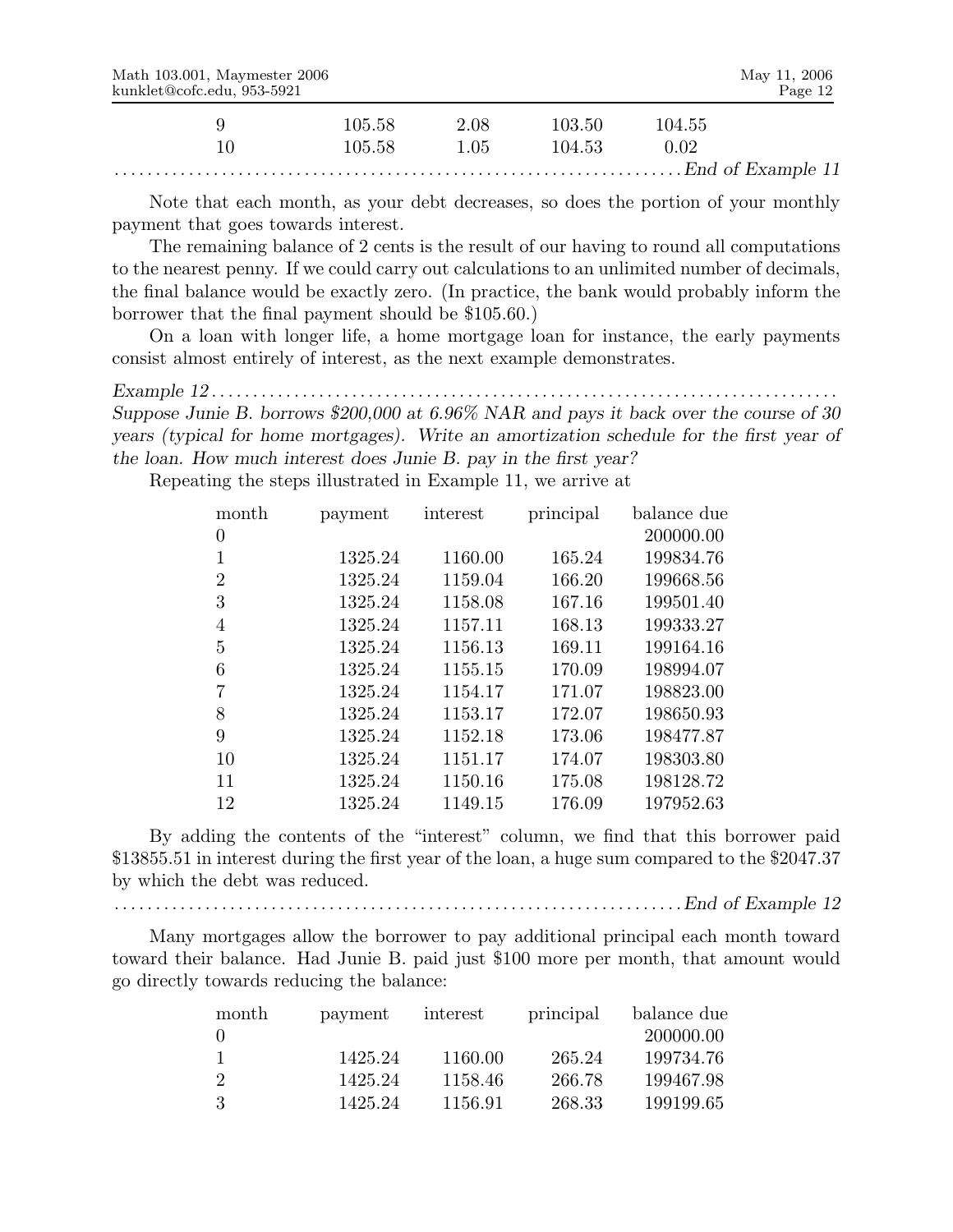| Math 103.001, Maymester 2006<br>kunklet@cofc.edu, 953-5921 |        |      |        |        | May 11, 2006<br>Page 12 |
|------------------------------------------------------------|--------|------|--------|--------|-------------------------|
|                                                            | 105.58 | 2.08 | 103.50 | 104.55 |                         |
|                                                            | 105.58 | 1.05 | 104.53 | 0.02   |                         |
|                                                            |        |      |        |        | . End of Example 11     |

Note that each month, as your debt decreases, so does the portion of your monthly payment that goes towards interest.

The remaining balance of 2 cents is the result of our having to round all computations to the nearest penny. If we could carry out calculations to an unlimited number of decimals, the final balance would be exactly zero. (In practice, the bank would probably inform the borrower that the final payment should be \$105.60.)

On a loan with longer life, a home mortgage loan for instance, the early payments consist almost entirely of interest, as the next example demonstrates.

Example 12 . . . . . . . . . . . . . . . . . . . . . . . . . . . . . . . . . . . . . . . . . . . . . . . . . . . . . . . . . . . . . . . . . . . . . . . . . . . . Suppose Junie B. borrows \$200,000 at 6.96% NAR and pays it back over the course of 30 years (typical for home mortgages). Write an amortization schedule for the first year of the loan. How much interest does Junie B. pay in the first year?

Repeating the steps illustrated in Example 11, we arrive at

| month          | payment | interest | principal | balance due |
|----------------|---------|----------|-----------|-------------|
| 0              |         |          |           | 200000.00   |
|                | 1325.24 | 1160.00  | 165.24    | 199834.76   |
| $\overline{2}$ | 1325.24 | 1159.04  | 166.20    | 199668.56   |
| 3              | 1325.24 | 1158.08  | 167.16    | 199501.40   |
| 4              | 1325.24 | 1157.11  | 168.13    | 199333.27   |
| 5              | 1325.24 | 1156.13  | 169.11    | 199164.16   |
| 6              | 1325.24 | 1155.15  | 170.09    | 198994.07   |
| 7              | 1325.24 | 1154.17  | 171.07    | 198823.00   |
| 8              | 1325.24 | 1153.17  | 172.07    | 198650.93   |
| 9              | 1325.24 | 1152.18  | 173.06    | 198477.87   |
| 10             | 1325.24 | 1151.17  | 174.07    | 198303.80   |
| 11             | 1325.24 | 1150.16  | 175.08    | 198128.72   |
| 12             | 1325.24 | 1149.15  | 176.09    | 197952.63   |

By adding the contents of the "interest" column, we find that this borrower paid \$13855.51 in interest during the first year of the loan, a huge sum compared to the \$2047.37 by which the debt was reduced.

. . . . . . . . . . . . . . . . . . . . . . . . . . . . . . . . . . . . . . . . . . . . . . . . . . . . . . . . . . . . . . . . . . . . .End of Example 12

Many mortgages allow the borrower to pay additional principal each month toward toward their balance. Had Junie B. paid just \$100 more per month, that amount would go directly towards reducing the balance:

| month                | payment | interest | principal | balance due |
|----------------------|---------|----------|-----------|-------------|
|                      |         |          |           | 200000.00   |
|                      | 1425.24 | 1160.00  | 265.24    | 199734.76   |
| $\ddot{\phantom{0}}$ | 1425.24 | 1158.46  | 266.78    | 199467.98   |
| 3                    | 1425.24 | 1156.91  | 268.33    | 199199.65   |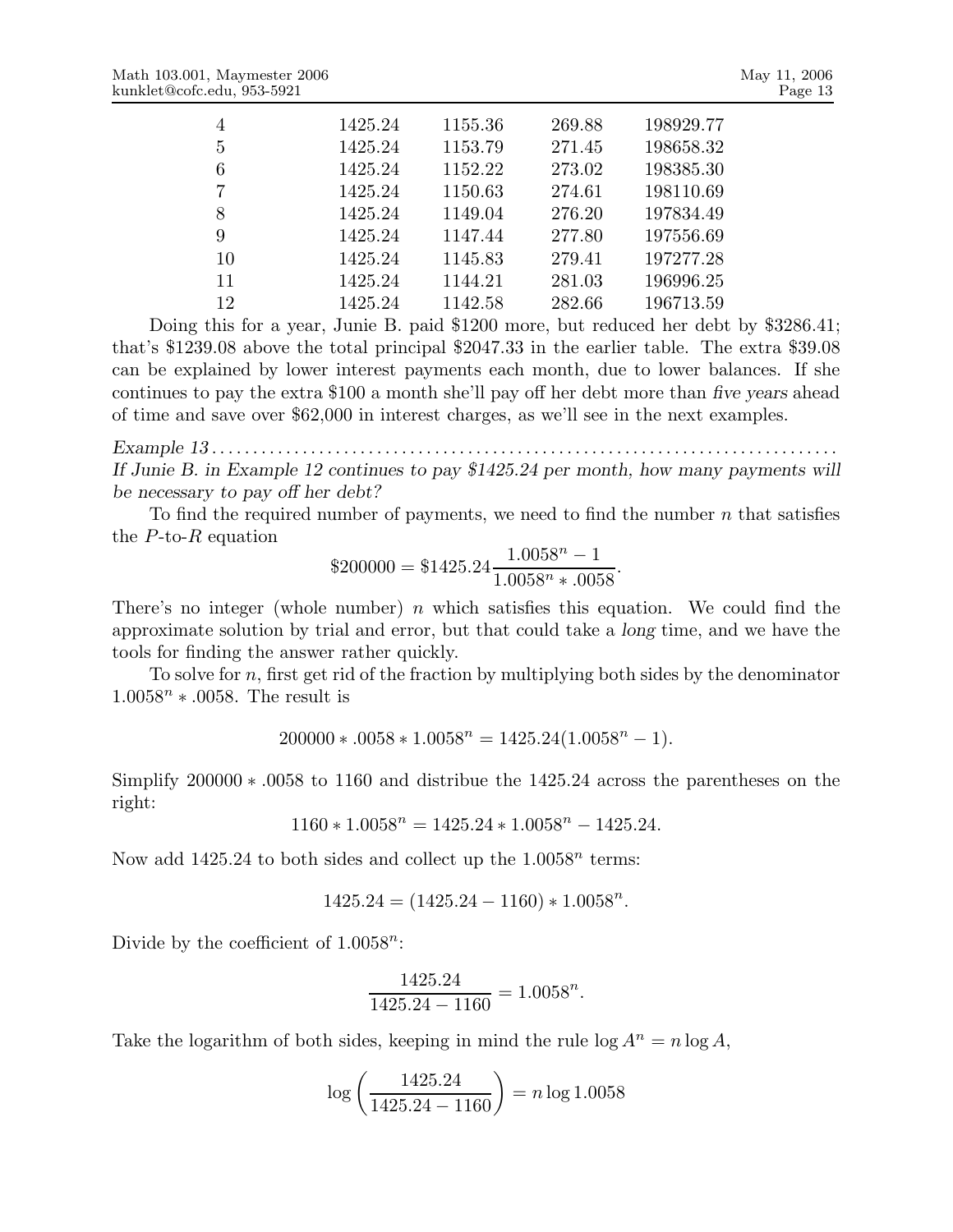| 4  | 1425.24 | 1155.36 | 269.88 | 198929.77 |
|----|---------|---------|--------|-----------|
| 5  | 1425.24 | 1153.79 | 271.45 | 198658.32 |
| 6  | 1425.24 | 1152.22 | 273.02 | 198385.30 |
| 7  | 1425.24 | 1150.63 | 274.61 | 198110.69 |
| 8  | 1425.24 | 1149.04 | 276.20 | 197834.49 |
| 9  | 1425.24 | 1147.44 | 277.80 | 197556.69 |
| 10 | 1425.24 | 1145.83 | 279.41 | 197277.28 |
| 11 | 1425.24 | 1144.21 | 281.03 | 196996.25 |
| 12 | 1425.24 | 1142.58 | 282.66 | 196713.59 |
|    |         |         |        |           |

Doing this for a year, Junie B. paid \$1200 more, but reduced her debt by \$3286.41; that's \$1239.08 above the total principal \$2047.33 in the earlier table. The extra \$39.08 can be explained by lower interest payments each month, due to lower balances. If she continues to pay the extra \$100 a month she'll pay off her debt more than five years ahead of time and save over \$62,000 in interest charges, as we'll see in the next examples.

Example 13 . . . . . . . . . . . . . . . . . . . . . . . . . . . . . . . . . . . . . . . . . . . . . . . . . . . . . . . . . . . . . . . . . . . . . . . . . . . . If Junie B. in Example 12 continues to pay \$1425.24 per month, how many payments will be necessary to pay off her debt?

To find the required number of payments, we need to find the number  $n$  that satisfies the  $P$ -to- $R$  equation

$$
\$200000 = \$1425.24 \frac{1.0058^n - 1}{1.0058^n * .0058}.
$$

There's no integer (whole number) n which satisfies this equation. We could find the approximate solution by trial and error, but that could take a long time, and we have the tools for finding the answer rather quickly.

To solve for  $n$ , first get rid of the fraction by multiplying both sides by the denominator  $1.0058<sup>n</sup> * .0058$ . The result is

$$
200000*.0058*1.0058n = 1425.24(1.0058n - 1).
$$

Simplify 200000 ∗ .0058 to 1160 and distribue the 1425.24 across the parentheses on the right:

$$
1160 * 1.0058n = 1425.24 * 1.0058n - 1425.24.
$$

Now add 1425.24 to both sides and collect up the  $1.0058<sup>n</sup>$  terms:

$$
1425.24 = (1425.24 - 1160) * 1.0058n.
$$

Divide by the coefficient of  $1.0058^n$ :

$$
\frac{1425.24}{1425.24 - 1160} = 1.0058^n.
$$

Take the logarithm of both sides, keeping in mind the rule  $\log A^n = n \log A$ ,

$$
\log\left(\frac{1425.24}{1425.24 - 1160}\right) = n \log 1.0058
$$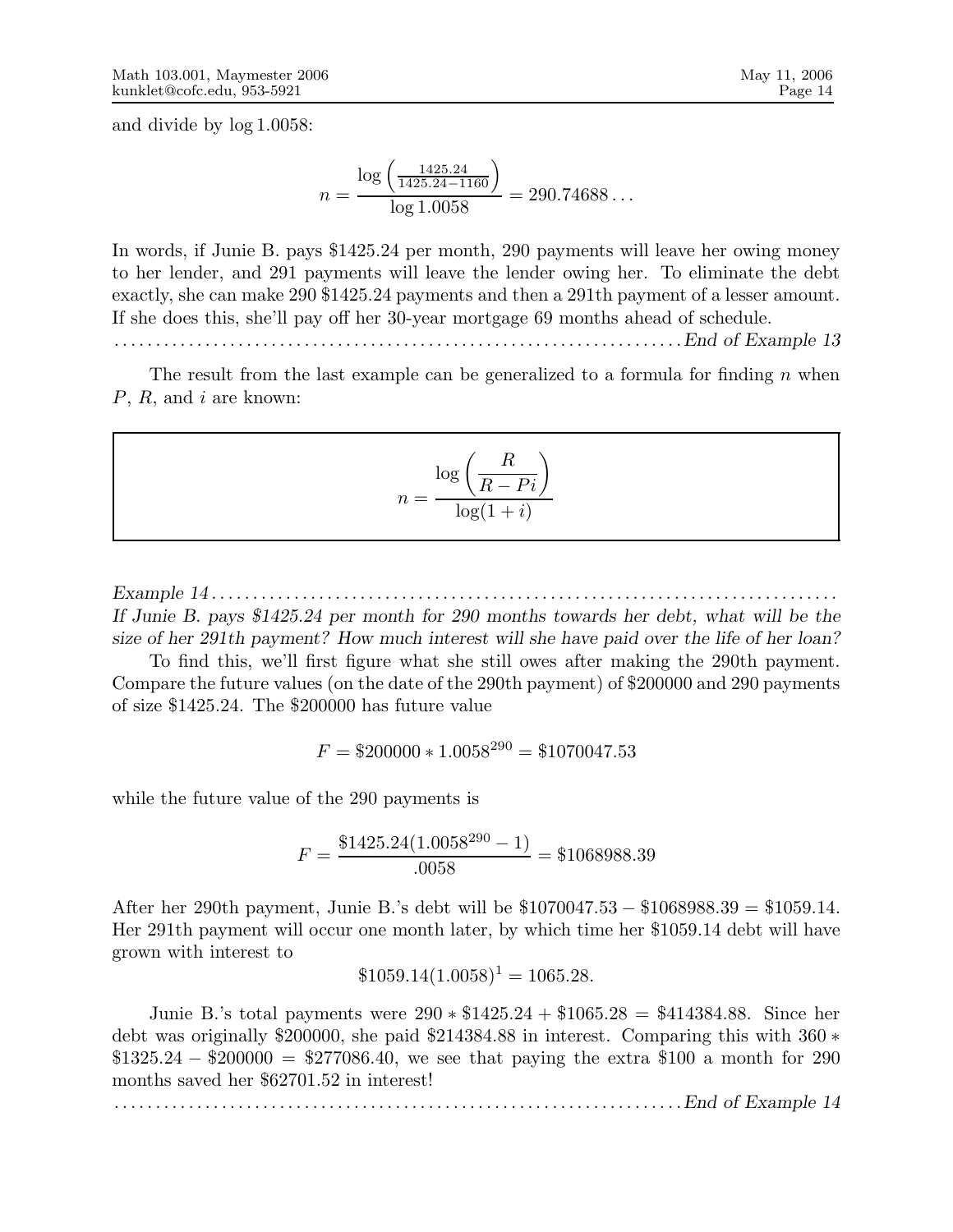and divide by log 1.0058:

$$
n = \frac{\log\left(\frac{1425.24}{1425.24 - 1160}\right)}{\log 1.0058} = 290.74688\dots
$$

In words, if Junie B. pays \$1425.24 per month, 290 payments will leave her owing money to her lender, and 291 payments will leave the lender owing her. To eliminate the debt exactly, she can make 290 \$1425.24 payments and then a 291th payment of a lesser amount. If she does this, she'll pay off her 30-year mortgage 69 months ahead of schedule.

. . . . . . . . . . . . . . . . . . . . . . . . . . . . . . . . . . . . . . . . . . . . . . . . . . . . . . . . . . . . . . . . . . . . .End of Example 13

The result from the last example can be generalized to a formula for finding  $n$  when P, R, and i are known:

$$
n = \frac{\log\left(\frac{R}{R - Pi}\right)}{\log(1 + i)}
$$

Example 14 . . . . . . . . . . . . . . . . . . . . . . . . . . . . . . . . . . . . . . . . . . . . . . . . . . . . . . . . . . . . . . . . . . . . . . . . . . . . If Junie B. pays \$1425.24 per month for 290 months towards her debt, what will be the size of her 291th payment? How much interest will she have paid over the life of her loan?

To find this, we'll first figure what she still owes after making the 290th payment. Compare the future values (on the date of the 290th payment) of \$200000 and 290 payments of size \$1425.24. The \$200000 has future value

 $F = $200000 * 1.0058^{290} = $1070047.53$ 

while the future value of the 290 payments is

$$
F = \frac{\$1425.24(1.0058^{290} - 1)}{.0058} = \$1068988.39
$$

After her 290th payment, Junie B.'s debt will be \$1070047.53 − \$1068988.39 = \$1059.14. Her 291th payment will occur one month later, by which time her \$1059.14 debt will have grown with interest to

$$
$1059.14(1.0058)^{1} = 1065.28.
$$

Junie B.'s total payments were 290 ∗ \$1425.24 + \$1065.28 = \$414384.88. Since her debt was originally \$200000, she paid \$214384.88 in interest. Comparing this with 360 ∗ \$1325.24 − \$200000 = \$277086.40, we see that paying the extra \$100 a month for 290 months saved her \$62701.52 in interest!

. . . . . . . . . . . . . . . . . . . . . . . . . . . . . . . . . . . . . . . . . . . . . . . . . . . . . . . . . . . . . . . . . . . . .End of Example 14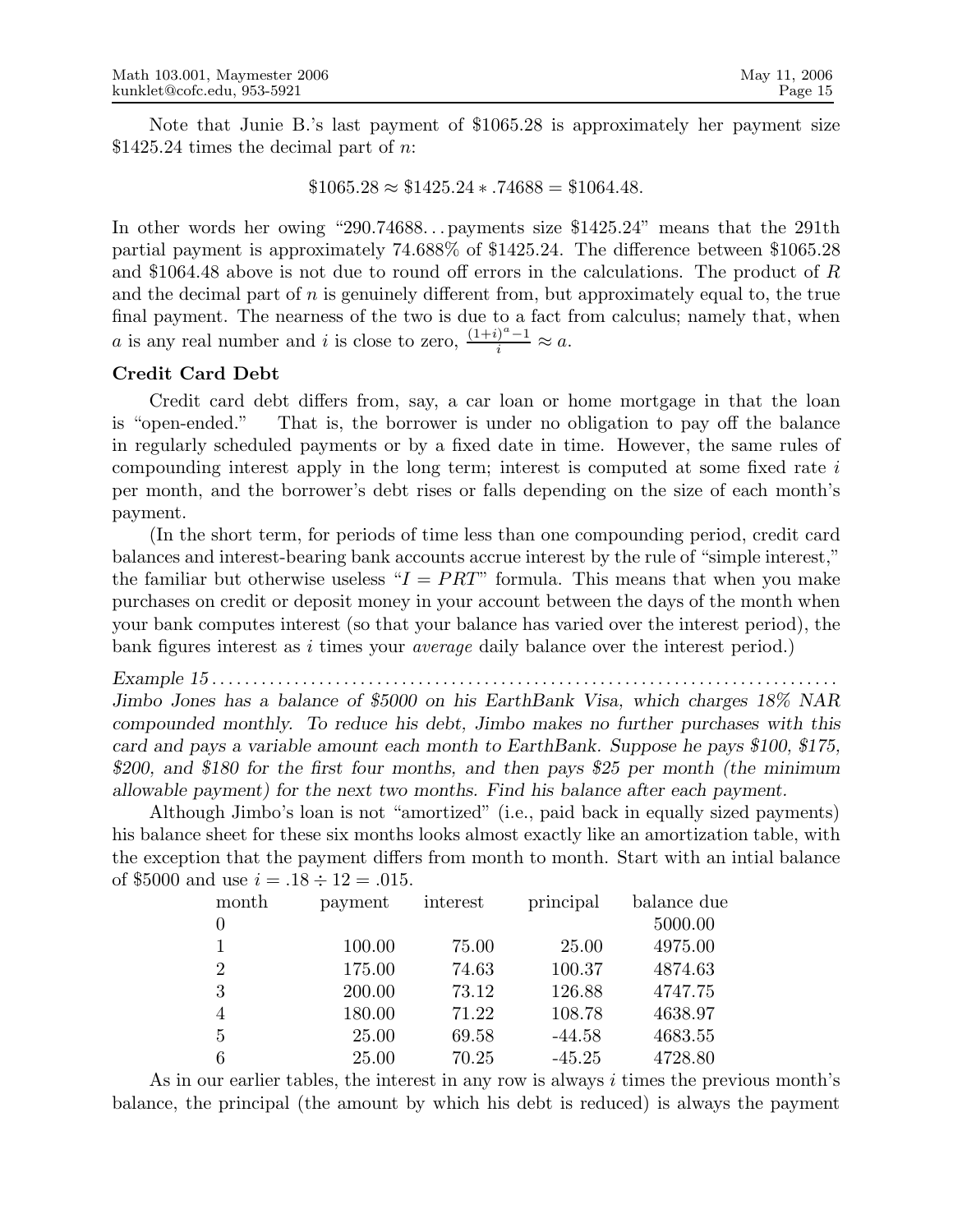Note that Junie B.'s last payment of \$1065.28 is approximately her payment size  $$1425.24$  times the decimal part of n:

$$
\$1065.28\approx\$1425.24*.74688=\$1064.48.
$$

In other words her owing "290.74688... payments size \$1425.24" means that the 291th partial payment is approximately 74.688% of \$1425.24. The difference between \$1065.28 and \$1064.48 above is not due to round off errors in the calculations. The product of R and the decimal part of  $n$  is genuinely different from, but approximately equal to, the true final payment. The nearness of the two is due to a fact from calculus; namely that, when a is any real number and i is close to zero,  $\frac{(1+i)^a-1}{i} \approx a$ .

## Credit Card Debt

Credit card debt differs from, say, a car loan or home mortgage in that the loan is "open-ended." That is, the borrower is under no obligation to pay off the balance in regularly scheduled payments or by a fixed date in time. However, the same rules of compounding interest apply in the long term; interest is computed at some fixed rate  $i$ per month, and the borrower's debt rises or falls depending on the size of each month's payment.

(In the short term, for periods of time less than one compounding period, credit card balances and interest-bearing bank accounts accrue interest by the rule of "simple interest," the familiar but otherwise useless " $I = PRT$ " formula. This means that when you make purchases on credit or deposit money in your account between the days of the month when your bank computes interest (so that your balance has varied over the interest period), the bank figures interest as i times your average daily balance over the interest period.)

Example 15 . . . . . . . . . . . . . . . . . . . . . . . . . . . . . . . . . . . . . . . . . . . . . . . . . . . . . . . . . . . . . . . . . . . . . . . . . . . . Jimbo Jones has a balance of \$5000 on his EarthBank Visa, which charges 18% NAR compounded monthly. To reduce his debt, Jimbo makes no further purchases with this card and pays a variable amount each month to EarthBank. Suppose he pays \$100, \$175, \$200, and \$180 for the first four months, and then pays \$25 per month (the minimum allowable payment) for the next two months. Find his balance after each payment.

Although Jimbo's loan is not "amortized" (i.e., paid back in equally sized payments) his balance sheet for these six months looks almost exactly like an amortization table, with the exception that the payment differs from month to month. Start with an intial balance of \$5000 and use  $i = .18 \div 12 = .015$ .

| month          | payment | interest | principal | balance due |
|----------------|---------|----------|-----------|-------------|
| $\overline{0}$ |         |          |           | 5000.00     |
|                | 100.00  | 75.00    | 25.00     | 4975.00     |
| $\overline{2}$ | 175.00  | 74.63    | 100.37    | 4874.63     |
| 3              | 200.00  | 73.12    | 126.88    | 4747.75     |
| $\overline{4}$ | 180.00  | 71.22    | 108.78    | 4638.97     |
| 5              | 25.00   | 69.58    | $-44.58$  | 4683.55     |
| 6              | 25.00   | 70.25    | $-45.25$  | 4728.80     |

As in our earlier tables, the interest in any row is always  $i$  times the previous month's balance, the principal (the amount by which his debt is reduced) is always the payment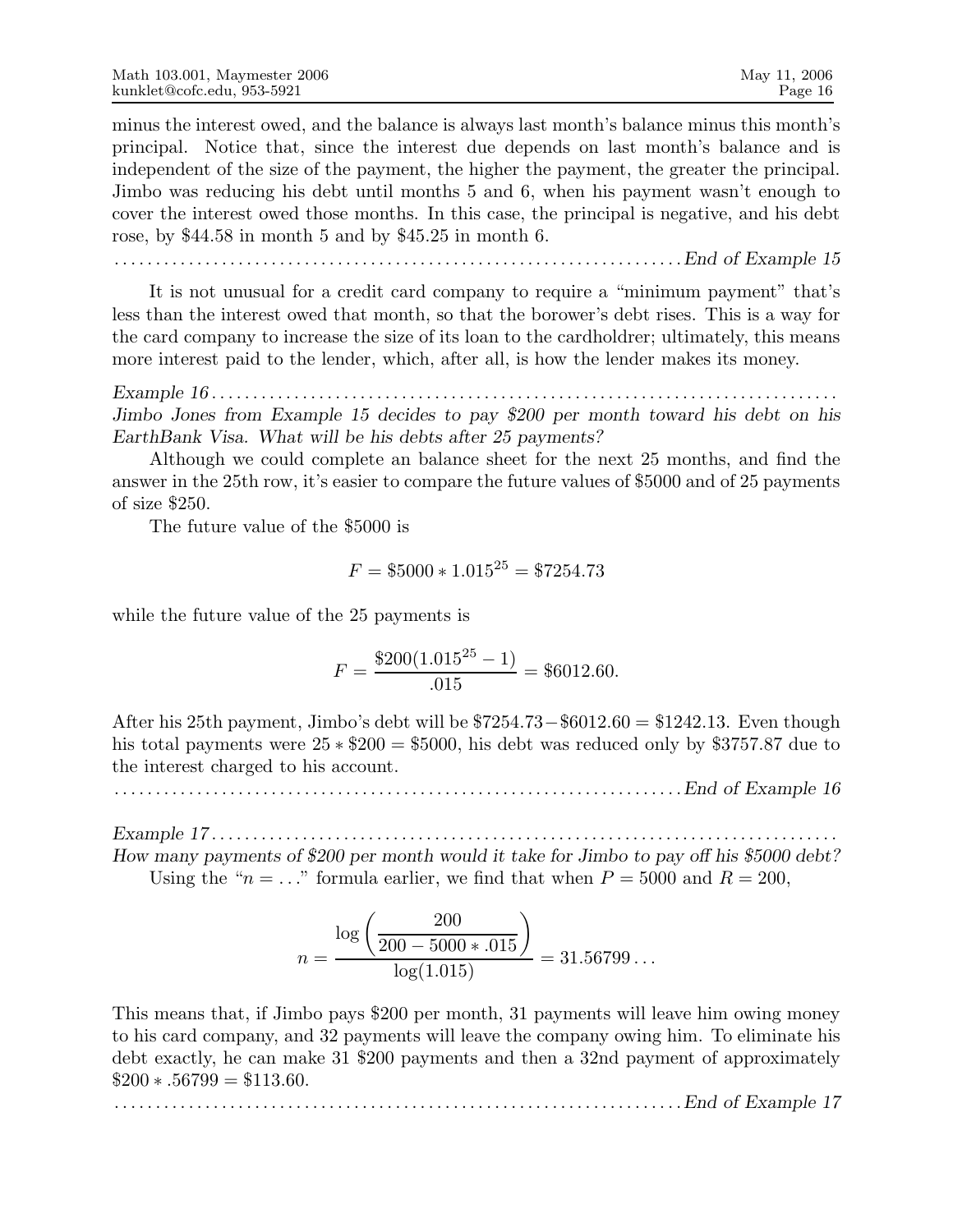minus the interest owed, and the balance is always last month's balance minus this month's principal. Notice that, since the interest due depends on last month's balance and is independent of the size of the payment, the higher the payment, the greater the principal. Jimbo was reducing his debt until months 5 and 6, when his payment wasn't enough to cover the interest owed those months. In this case, the principal is negative, and his debt rose, by \$44.58 in month 5 and by \$45.25 in month 6.

. . . . . . . . . . . . . . . . . . . . . . . . . . . . . . . . . . . . . . . . . . . . . . . . . . . . . . . . . . . . . . . . . . . . .End of Example 15

It is not unusual for a credit card company to require a "minimum payment" that's less than the interest owed that month, so that the borower's debt rises. This is a way for the card company to increase the size of its loan to the cardholdrer; ultimately, this means more interest paid to the lender, which, after all, is how the lender makes its money.

Example 16 . . . . . . . . . . . . . . . . . . . . . . . . . . . . . . . . . . . . . . . . . . . . . . . . . . . . . . . . . . . . . . . . . . . . . . . . . . . . Jimbo Jones from Example 15 decides to pay \$200 per month toward his debt on his EarthBank Visa. What will be his debts after 25 payments?

Although we could complete an balance sheet for the next 25 months, and find the answer in the 25th row, it's easier to compare the future values of \$5000 and of 25 payments of size \$250.

The future value of the \$5000 is

$$
F = \$5000 * 1.015^{25} = \$7254.73
$$

while the future value of the 25 payments is

$$
F = \frac{\$200(1.015^{25} - 1)}{.015} = \$6012.60.
$$

After his 25th payment, Jimbo's debt will be \$7254.73−\$6012.60 = \$1242.13. Even though his total payments were  $25 * $200 = $5000$ , his debt was reduced only by \$3757.87 due to the interest charged to his account.

. . . . . . . . . . . . . . . . . . . . . . . . . . . . . . . . . . . . . . . . . . . . . . . . . . . . . . . . . . . . . . . . . . . . .End of Example 16

Example 17 . . . . . . . . . . . . . . . . . . . . . . . . . . . . . . . . . . . . . . . . . . . . . . . . . . . . . . . . . . . . . . . . . . . . . . . . . . . . How many payments of \$200 per month would it take for Jimbo to pay off his \$5000 debt? Using the " $n = \ldots$ " formula earlier, we find that when  $P = 5000$  and  $R = 200$ ,

$$
n = \frac{\log\left(\frac{200}{200 - 5000 \times .015}\right)}{\log(1.015)} = 31.56799...
$$

This means that, if Jimbo pays \$200 per month, 31 payments will leave him owing money to his card company, and 32 payments will leave the company owing him. To eliminate his debt exactly, he can make 31 \$200 payments and then a 32nd payment of approximately  $\$200*.56799 = \$113.60.$ 

. . . . . . . . . . . . . . . . . . . . . . . . . . . . . . . . . . . . . . . . . . . . . . . . . . . . . . . . . . . . . . . . . . . . .End of Example 17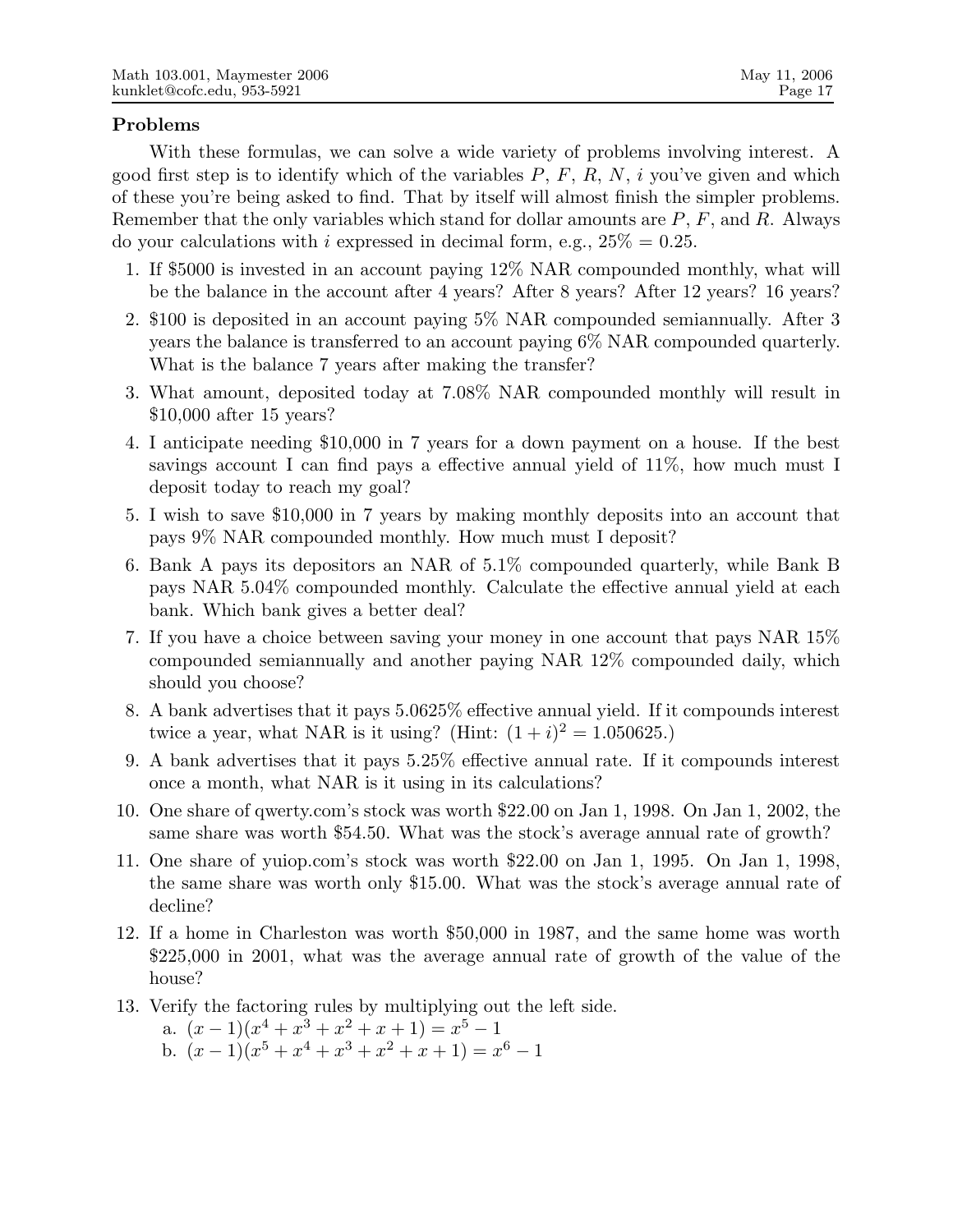## Problems

With these formulas, we can solve a wide variety of problems involving interest. A good first step is to identify which of the variables  $P, F, R, N, i$  you've given and which of these you're being asked to find. That by itself will almost finish the simpler problems. Remember that the only variables which stand for dollar amounts are  $P, F$ , and  $R$ . Always do your calculations with i expressed in decimal form, e.g.,  $25\% = 0.25$ .

- 1. If \$5000 is invested in an account paying 12% NAR compounded monthly, what will be the balance in the account after 4 years? After 8 years? After 12 years? 16 years?
- 2. \$100 is deposited in an account paying 5% NAR compounded semiannually. After 3 years the balance is transferred to an account paying 6% NAR compounded quarterly. What is the balance 7 years after making the transfer?
- 3. What amount, deposited today at 7.08% NAR compounded monthly will result in \$10,000 after 15 years?
- 4. I anticipate needing \$10,000 in 7 years for a down payment on a house. If the best savings account I can find pays a effective annual yield of 11%, how much must I deposit today to reach my goal?
- 5. I wish to save \$10,000 in 7 years by making monthly deposits into an account that pays 9% NAR compounded monthly. How much must I deposit?
- 6. Bank A pays its depositors an NAR of 5.1% compounded quarterly, while Bank B pays NAR 5.04% compounded monthly. Calculate the effective annual yield at each bank. Which bank gives a better deal?
- 7. If you have a choice between saving your money in one account that pays NAR 15% compounded semiannually and another paying NAR 12% compounded daily, which should you choose?
- 8. A bank advertises that it pays 5.0625% effective annual yield. If it compounds interest twice a year, what NAR is it using? (Hint:  $(1 + i)^2 = 1.050625$ .)
- 9. A bank advertises that it pays 5.25% effective annual rate. If it compounds interest once a month, what NAR is it using in its calculations?
- 10. One share of qwerty.com's stock was worth \$22.00 on Jan 1, 1998. On Jan 1, 2002, the same share was worth \$54.50. What was the stock's average annual rate of growth?
- 11. One share of yuiop.com's stock was worth \$22.00 on Jan 1, 1995. On Jan 1, 1998, the same share was worth only \$15.00. What was the stock's average annual rate of decline?
- 12. If a home in Charleston was worth \$50,000 in 1987, and the same home was worth \$225,000 in 2001, what was the average annual rate of growth of the value of the house?
- 13. Verify the factoring rules by multiplying out the left side.
	- a.  $(x-1)(x^4+x^3+x^2+x+1) = x^5 1$ b.  $(x-1)(x^5 + x^4 + x^3 + x^2 + x + 1) = x^6 - 1$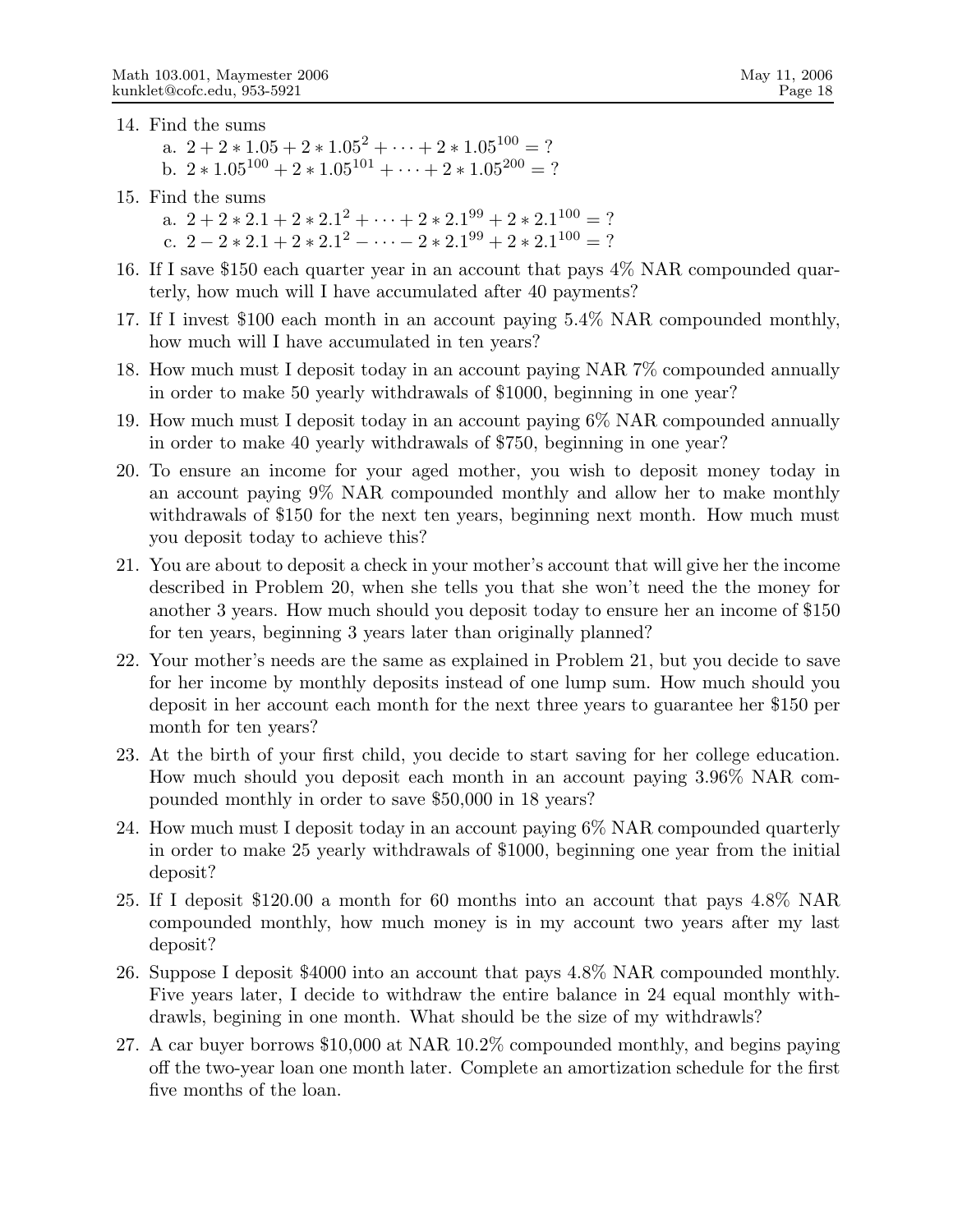- 14. Find the sums a.  $2 + 2 * 1.05 + 2 * 1.05^{2} + \cdots + 2 * 1.05^{100} = ?$ b.  $2 * 1.05^{100} + 2 * 1.05^{101} + \cdots + 2 * 1.05^{200} = ?$
- 15. Find the sums

a.  $2 + 2 \times 2 \cdot 1 + 2 \times 2 \cdot 1^2 + \dots + 2 \times 2 \cdot 1^{99} + 2 \times 2 \cdot 1^{100} = ?$ c.  $2 - 2 \times 2 \cdot 1 + 2 \times 2 \cdot 1^2 - \cdots - 2 \times 2 \cdot 1^{99} + 2 \times 2 \cdot 1^{100} = ?$ 

- 16. If I save \$150 each quarter year in an account that pays 4% NAR compounded quarterly, how much will I have accumulated after 40 payments?
- 17. If I invest \$100 each month in an account paying 5.4% NAR compounded monthly, how much will I have accumulated in ten years?
- 18. How much must I deposit today in an account paying NAR 7% compounded annually in order to make 50 yearly withdrawals of \$1000, beginning in one year?
- 19. How much must I deposit today in an account paying 6% NAR compounded annually in order to make 40 yearly withdrawals of \$750, beginning in one year?
- 20. To ensure an income for your aged mother, you wish to deposit money today in an account paying 9% NAR compounded monthly and allow her to make monthly withdrawals of \$150 for the next ten years, beginning next month. How much must you deposit today to achieve this?
- 21. You are about to deposit a check in your mother's account that will give her the income described in Problem 20, when she tells you that she won't need the the money for another 3 years. How much should you deposit today to ensure her an income of \$150 for ten years, beginning 3 years later than originally planned?
- 22. Your mother's needs are the same as explained in Problem 21, but you decide to save for her income by monthly deposits instead of one lump sum. How much should you deposit in her account each month for the next three years to guarantee her \$150 per month for ten years?
- 23. At the birth of your first child, you decide to start saving for her college education. How much should you deposit each month in an account paying 3.96% NAR compounded monthly in order to save \$50,000 in 18 years?
- 24. How much must I deposit today in an account paying 6% NAR compounded quarterly in order to make 25 yearly withdrawals of \$1000, beginning one year from the initial deposit?
- 25. If I deposit \$120.00 a month for 60 months into an account that pays 4.8% NAR compounded monthly, how much money is in my account two years after my last deposit?
- 26. Suppose I deposit \$4000 into an account that pays 4.8% NAR compounded monthly. Five years later, I decide to withdraw the entire balance in 24 equal monthly withdrawls, begining in one month. What should be the size of my withdrawls?
- 27. A car buyer borrows \$10,000 at NAR 10.2% compounded monthly, and begins paying off the two-year loan one month later. Complete an amortization schedule for the first five months of the loan.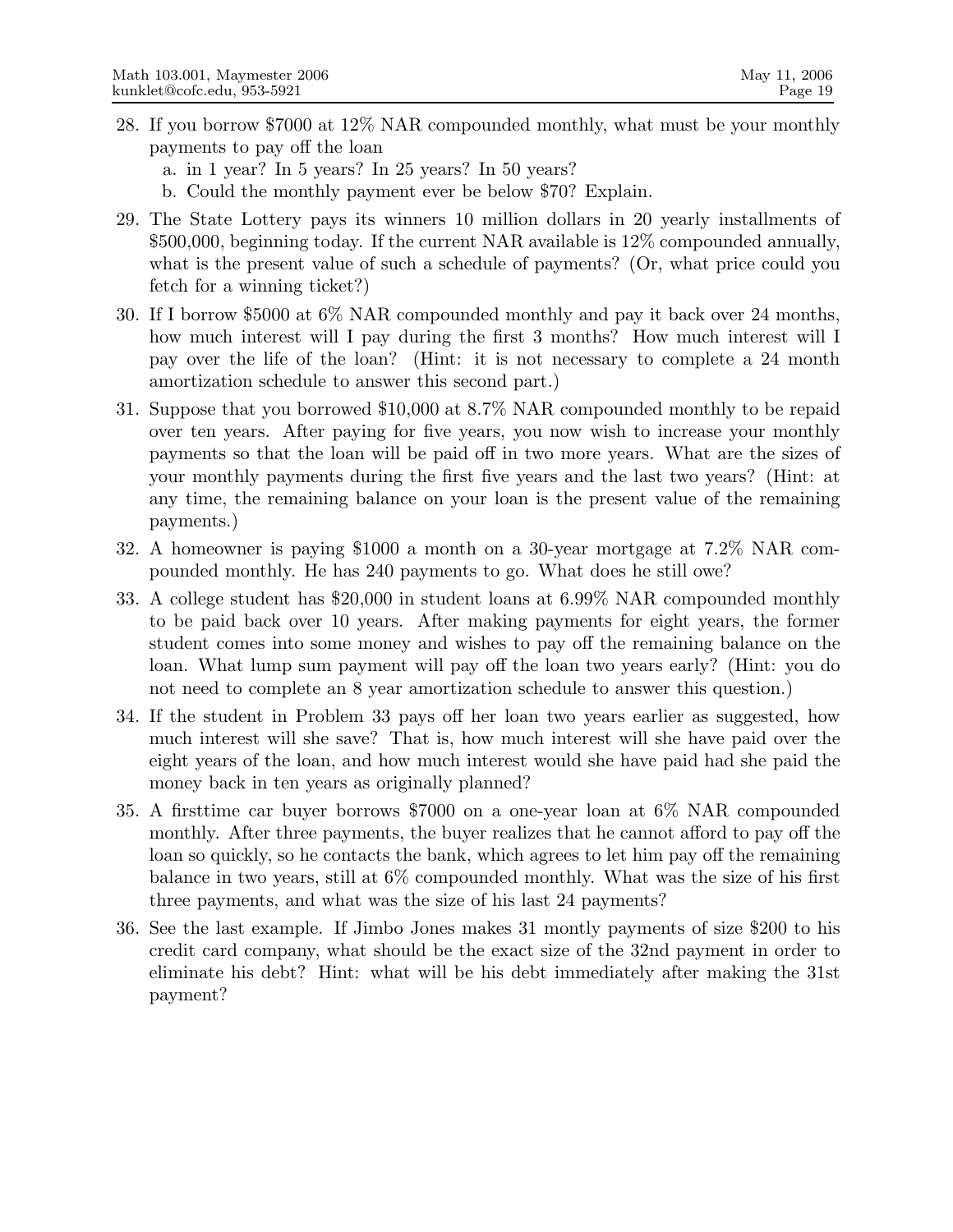- 28. If you borrow \$7000 at 12% NAR compounded monthly, what must be your monthly payments to pay off the loan
	- a. in 1 year? In 5 years? In 25 years? In 50 years?
	- b. Could the monthly payment ever be below \$70? Explain.
- 29. The State Lottery pays its winners 10 million dollars in 20 yearly installments of \$500,000, beginning today. If the current NAR available is 12% compounded annually, what is the present value of such a schedule of payments? (Or, what price could you fetch for a winning ticket?)
- 30. If I borrow \$5000 at 6% NAR compounded monthly and pay it back over 24 months, how much interest will I pay during the first 3 months? How much interest will I pay over the life of the loan? (Hint: it is not necessary to complete a 24 month amortization schedule to answer this second part.)
- 31. Suppose that you borrowed \$10,000 at 8.7% NAR compounded monthly to be repaid over ten years. After paying for five years, you now wish to increase your monthly payments so that the loan will be paid off in two more years. What are the sizes of your monthly payments during the first five years and the last two years? (Hint: at any time, the remaining balance on your loan is the present value of the remaining payments.)
- 32. A homeowner is paying \$1000 a month on a 30-year mortgage at 7.2% NAR compounded monthly. He has 240 payments to go. What does he still owe?
- 33. A college student has \$20,000 in student loans at 6.99% NAR compounded monthly to be paid back over 10 years. After making payments for eight years, the former student comes into some money and wishes to pay off the remaining balance on the loan. What lump sum payment will pay off the loan two years early? (Hint: you do not need to complete an 8 year amortization schedule to answer this question.)
- 34. If the student in Problem 33 pays off her loan two years earlier as suggested, how much interest will she save? That is, how much interest will she have paid over the eight years of the loan, and how much interest would she have paid had she paid the money back in ten years as originally planned?
- 35. A firsttime car buyer borrows \$7000 on a one-year loan at 6% NAR compounded monthly. After three payments, the buyer realizes that he cannot afford to pay off the loan so quickly, so he contacts the bank, which agrees to let him pay off the remaining balance in two years, still at 6% compounded monthly. What was the size of his first three payments, and what was the size of his last 24 payments?
- 36. See the last example. If Jimbo Jones makes 31 montly payments of size \$200 to his credit card company, what should be the exact size of the 32nd payment in order to eliminate his debt? Hint: what will be his debt immediately after making the 31st payment?